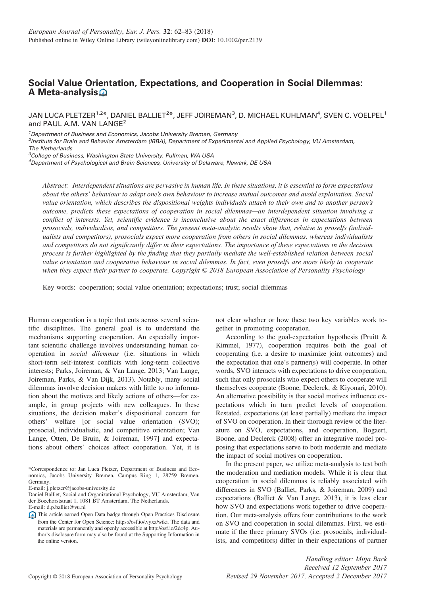# Social Value Orientation, Expectations, and Cooperation in Social Dilemmas: A Meta-analysis

JAN LUCA PLETZER $^{1,2\ast}$ , DANIEL BALLIET $^{2\ast}$ , JEFF JOIREMAN $^3$ , D. MICHAEL KUHLMAN $^4$ , SVEN C. VOELPEL $^1$ and PAUL A.M. VAN LANGE<sup>2</sup>

<sup>1</sup>Department of Business and Economics, Jacobs University Bremen, Germany

<sup>2</sup>Institute for Brain and Behavior Amsterdam (IBBA), Department of Experimental and Applied Psychology, VU Amsterdam, The Netherlands

<sup>3</sup>College of Business, Washington State University, Pullman, WA USA

<sup>4</sup>Department of Psychological and Brain Sciences, University of Delaware, Newark, DE USA

Abstract: Interdependent situations are pervasive in human life. In these situations, it is essential to form expectations about the others' behaviour to adapt one's own behaviour to increase mutual outcomes and avoid exploitation. Social value orientation, which describes the dispositional weights individuals attach to their own and to another person's outcome, predicts these expectations of cooperation in social dilemmas—an interdependent situation involving a conflict of interests. Yet, scientific evidence is inconclusive about the exact differences in expectations between prosocials, individualists, and competitors. The present meta-analytic results show that, relative to proselfs (individualists and competitors), prosocials expect more cooperation from others in social dilemmas, whereas individualists and competitors do not significantly differ in their expectations. The importance of these expectations in the decision process is further highlighted by the finding that they partially mediate the well-established relation between social value orientation and cooperative behaviour in social dilemmas. In fact, even proselfs are more likely to cooperate when they expect their partner to cooperate. Copyright © 2018 European Association of Personality Psychology

Key words: cooperation; social value orientation; expectations; trust; social dilemmas

Human cooperation is a topic that cuts across several scientific disciplines. The general goal is to understand the mechanisms supporting cooperation. An especially important scientific challenge involves understanding human cooperation in social dilemmas (i.e. situations in which short-term self-interest conflicts with long-term collective interests; Parks, Joireman, & Van Lange, 2013; Van Lange, Joireman, Parks, & Van Dijk, 2013). Notably, many social dilemmas involve decision makers with little to no information about the motives and likely actions of others—for example, in group projects with new colleagues. In these situations, the decision maker's dispositional concern for others' welfare [or social value orientation (SVO); prosocial, individualistic, and competitive orientation; Van Lange, Otten, De Bruin, & Joireman, 1997] and expectations about others' choices affect cooperation. Yet, it is

\*Correspondence to: Jan Luca Pletzer, Department of Business and Economics, Jacobs University Bremen, Campus Ring 1, 28759 Bremen, Germany.

Daniel Balliet, Social and Organizational Psychology, VU Amsterdam, Van der Boechorststraat 1, 1081 BT Amsterdam, The Netherlands. E-mail: d.p.balliet@vu.nl

not clear whether or how these two key variables work together in promoting cooperation.

According to the goal-expectation hypothesis (Pruitt & Kimmel, 1977), cooperation requires both the goal of cooperating (i.e. a desire to maximize joint outcomes) and the expectation that one's partner(s) will cooperate. In other words, SVO interacts with expectations to drive cooperation, such that only prosocials who expect others to cooperate will themselves cooperate (Boone, Declerck, & Kiyonari, 2010). An alternative possibility is that social motives influence expectations which in turn predict levels of cooperation. Restated, expectations (at least partially) mediate the impact of SVO on cooperation. In their thorough review of the literature on SVO, expectations, and cooperation, Bogaert, Boone, and Declerck (2008) offer an integrative model proposing that expectations serve to both moderate and mediate the impact of social motives on cooperation.

In the present paper, we utilize meta-analysis to test both the moderation and mediation models. While it is clear that cooperation in social dilemmas is reliably associated with differences in SVO (Balliet, Parks, & Joireman, 2009) and expectations (Balliet & Van Lange, 2013), it is less clear how SVO and expectations work together to drive cooperation. Our meta-analysis offers four contributions to the work on SVO and cooperation in social dilemmas. First, we estimate if the three primary SVOs (i.e. prosocials, individualists, and competitors) differ in their expectations of partner

E-mail: j.pletzer@jacobs-university.de

This article earned Open Data badge through Open Practices Disclosure from the Center for Open Science: [https://osf.io/tvyxz/wiki.](https://osf.io/tvyxz/wiki) The data and materials are permanently and openly accessible at<http://osf.io/2dc4p>. Author's disclosure form may also be found at the Supporting Information in the online version.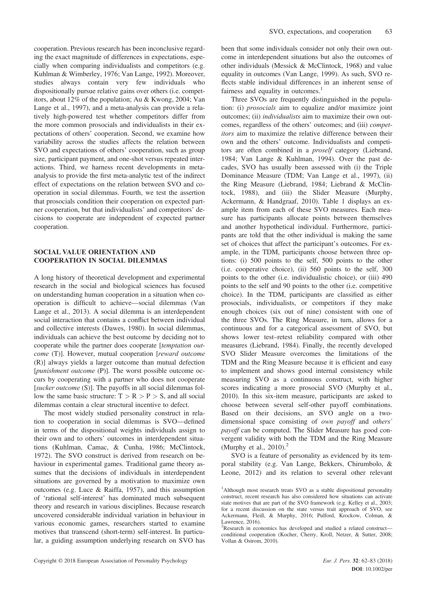cooperation. Previous research has been inconclusive regarding the exact magnitude of differences in expectations, especially when comparing individualists and competitors (e.g. Kuhlman & Wimberley, 1976; Van Lange, 1992). Moreover, studies always contain very few individuals who dispositionally pursue relative gains over others (i.e. competitors, about 12% of the population; Au & Kwong, 2004; Van Lange et al., 1997), and a meta-analysis can provide a relatively high-powered test whether competitors differ from the more common prosocials and individualists in their expectations of others' cooperation. Second, we examine how variability across the studies affects the relation between SVO and expectations of others' cooperation, such as group size, participant payment, and one-shot versus repeated interactions. Third, we harness recent developments in metaanalysis to provide the first meta-analytic test of the indirect effect of expectations on the relation between SVO and cooperation in social dilemmas. Fourth, we test the assertion that prosocials condition their cooperation on expected partner cooperation, but that individualists' and competitors' decisions to cooperate are independent of expected partner cooperation.

# SOCIAL VALUE ORIENTATION AND COOPERATION IN SOCIAL DILEMMAS

A long history of theoretical development and experimental research in the social and biological sciences has focused on understanding human cooperation in a situation when cooperation is difficult to achieve—social dilemmas (Van Lange et al., 2013). A social dilemma is an interdependent social interaction that contains a conflict between individual and collective interests (Dawes, 1980). In social dilemmas, individuals can achieve the best outcome by deciding not to cooperate while the partner does cooperate [temptation outcome (T)]. However, mutual cooperation [reward outcome (R)] always yields a larger outcome than mutual defection [punishment outcome (P)]. The worst possible outcome occurs by cooperating with a partner who does not cooperate [sucker outcome (S)]. The payoffs in all social dilemmas follow the same basic structure:  $T > R > P > S$ , and all social dilemmas contain a clear structural incentive to defect.

The most widely studied personality construct in relation to cooperation in social dilemmas is SVO—defined in terms of the dispositional weights individuals assign to their own and to others' outcomes in interdependent situations (Kuhlman, Camac, & Cunha, 1986; McClintock, 1972). The SVO construct is derived from research on behaviour in experimental games. Traditional game theory assumes that the decisions of individuals in interdependent situations are governed by a motivation to maximize own outcomes (e.g. Luce & Raiffa, 1957), and this assumption of 'rational self-interest' has dominated much subsequent theory and research in various disciplines. Because research uncovered considerable individual variation in behaviour in various economic games, researchers started to examine motives that transcend (short-term) self-interest. In particular, a guiding assumption underlying research on SVO has been that some individuals consider not only their own outcome in interdependent situations but also the outcomes of other individuals (Messick & McClintock, 1968) and value equality in outcomes (Van Lange, 1999). As such, SVO reflects stable individual differences in an inherent sense of fairness and equality in outcomes.<sup>1</sup>

Three SVOs are frequently distinguished in the population: (i) prosocials aim to equalize and/or maximize joint outcomes; (ii) *individualists* aim to maximize their own outcomes, regardless of the others' outcomes; and (iii) competitors aim to maximize the relative difference between their own and the others' outcome. Individualists and competitors are often combined in a proself category (Liebrand, 1984; Van Lange & Kuhlman, 1994). Over the past decades, SVO has usually been assessed with (i) the Triple Dominance Measure (TDM; Van Lange et al., 1997), (ii) the Ring Measure (Liebrand, 1984; Liebrand & McClintock, 1988), and (iii) the Slider Measure (Murphy, Ackermann, & Handgraaf, 2010). Table 1 displays an example item from each of these SVO measures. Each measure has participants allocate points between themselves and another hypothetical individual. Furthermore, participants are told that the other individual is making the same set of choices that affect the participant's outcomes. For example, in the TDM, participants choose between three options: (i) 500 points to the self, 500 points to the other (i.e. cooperative choice), (ii) 560 points to the self, 300 points to the other (i.e. individualistic choice), or (iii) 490 points to the self and 90 points to the other (i.e. competitive choice). In the TDM, participants are classified as either prosocials, individualists, or competitors if they make enough choices (six out of nine) consistent with one of the three SVOs. The Ring Measure, in turn, allows for a continuous and for a categorical assessment of SVO, but shows lower test–retest reliability compared with other measures (Liebrand, 1984). Finally, the recently developed SVO Slider Measure overcomes the limitations of the TDM and the Ring Measure because it is efficient and easy to implement and shows good internal consistency while measuring SVO as a continuous construct, with higher scores indicating a more prosocial SVO (Murphy et al., 2010). In this six-item measure, participants are asked to choose between several self-other payoff combinations. Based on their decisions, an SVO angle on a twodimensional space consisting of own payoff and others' payoff can be computed. The Slider Measure has good convergent validity with both the TDM and the Ring Measure (Murphy et al.,  $2010$ ).<sup>2</sup>

SVO is a feature of personality as evidenced by its temporal stability (e.g. Van Lange, Bekkers, Chirumbolo, & Leone, 2012) and its relation to several other relevant

<sup>&</sup>lt;sup>1</sup>Although most research treats SVO as a stable dispositional personality construct, recent research has also considered how situations can activate state motives that are part of the SVO framework (e.g. Kelley et al., 2003; for a recent discussion on the state versus trait approach of SVO, see Ackermann, Fleiß, & Murphy, 2016; Pulford, Krockow, Colman, & Lawrence, 2016).

<sup>&</sup>lt;sup>2</sup>Research in economics has developed and studied a related constructconditional cooperation (Kocher, Cherry, Kroll, Netzer, & Sutter, 2008; Vollan & Ostrom, 2010).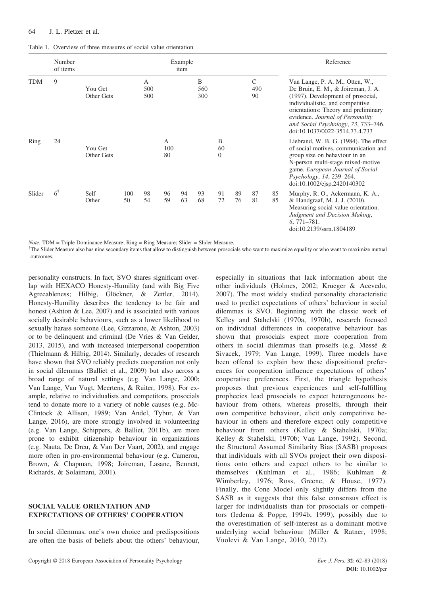### 64 J. L. Pletzer et al.

| Table 1. Overview of three measures of social value orientation |
|-----------------------------------------------------------------|
|-----------------------------------------------------------------|

|            | Number<br>of items |                       |           |                 |                | Example<br>item |                 |                         |          |                            |          | Reference                                                                                                                                                                                                                                                                                           |
|------------|--------------------|-----------------------|-----------|-----------------|----------------|-----------------|-----------------|-------------------------|----------|----------------------------|----------|-----------------------------------------------------------------------------------------------------------------------------------------------------------------------------------------------------------------------------------------------------------------------------------------------------|
| <b>TDM</b> | 9                  | You Get<br>Other Gets |           | A<br>500<br>500 |                |                 | B<br>560<br>300 |                         |          | $\mathcal{C}$<br>490<br>90 |          | Van Lange, P. A. M., Otten, W.,<br>De Bruin, E. M., & Joireman, J. A.<br>(1997). Development of prosocial,<br>individualistic, and competitive<br>orientations: Theory and preliminary<br>evidence. Journal of Personality<br>and Social Psychology, 73, 733-746.<br>doi:10.1037/0022-3514.73.4.733 |
| Ring       | 24                 | You Get<br>Other Gets |           |                 | A<br>100<br>80 |                 |                 | B<br>60<br>$\mathbf{0}$ |          |                            |          | Liebrand, W. B. G. (1984). The effect<br>of social motives, communication and<br>group size on behaviour in an<br>N-person multi-stage mixed-motive<br>game. European Journal of Social<br>Psychology, 14, 239-264.<br>doi:10.1002/ejsp.2420140302                                                  |
| Slider     | $6^{\dagger}$      | Self<br>Other         | 100<br>50 | 98<br>54        | 96<br>59       | 94<br>63        | 93<br>68        | 91<br>72                | 89<br>76 | 87<br>81                   | 85<br>85 | Murphy, R. O., Ackermann, K. A.,<br>& Handgraaf, M. J. J. (2010).<br>Measuring social value orientation.<br>Judgment and Decision Making,<br>$6,771-781.$<br>doi:10.2139/ssrn.1804189                                                                                                               |

 $Note. TDM = Triple Dominance Measure; Ring = Ring Measure; Silder = Slider Measure.$ 

The Slider Measure also has nine secondary items that allow to distinguish between prosocials who want to maximize equality or who want to maximize mutual outcomes.

personality constructs. In fact, SVO shares significant overlap with HEXACO Honesty-Humility (and with Big Five Agreeableness; Hilbig, Glöckner, & Zettler, 2014). Honesty-Humility describes the tendency to be fair and honest (Ashton & Lee, 2007) and is associated with various socially desirable behaviours, such as a lower likelihood to sexually harass someone (Lee, Gizzarone, & Ashton, 2003) or to be delinquent and criminal (De Vries & Van Gelder, 2013, 2015), and with increased interpersonal cooperation (Thielmann & Hilbig, 2014). Similarly, decades of research have shown that SVO reliably predicts cooperation not only in social dilemmas (Balliet et al., 2009) but also across a broad range of natural settings (e.g. Van Lange, 2000; Van Lange, Van Vugt, Meertens, & Ruiter, 1998). For example, relative to individualists and competitors, prosocials tend to donate more to a variety of noble causes (e.g. Mc-Clintock & Allison, 1989; Van Andel, Tybur, & Van Lange, 2016), are more strongly involved in volunteering (e.g. Van Lange, Schippers, & Balliet, 2011b), are more prone to exhibit citizenship behaviour in organizations (e.g. Nauta, De Dreu, & Van Der Vaart, 2002), and engage more often in pro-environmental behaviour (e.g. Cameron, Brown, & Chapman, 1998; Joireman, Lasane, Bennett, Richards, & Solaimani, 2001).

# SOCIAL VALUE ORIENTATION AND EXPECTATIONS OF OTHERS' COOPERATION

In social dilemmas, one's own choice and predispositions are often the basis of beliefs about the others' behaviour,

especially in situations that lack information about the other individuals (Holmes, 2002; Krueger & Acevedo, 2007). The most widely studied personality characteristic used to predict expectations of others' behaviour in social dilemmas is SVO. Beginning with the classic work of Kelley and Stahelski (1970a, 1970b), research focused on individual differences in cooperative behaviour has shown that prosocials expect more cooperation from others in social dilemmas than proselfs (e.g. Messé & Sivacek, 1979; Van Lange, 1999). Three models have been offered to explain how these dispositional preferences for cooperation influence expectations of others' cooperative preferences. First, the triangle hypothesis proposes that previous experiences and self-fulfilling prophecies lead prosocials to expect heterogeneous behaviour from others, whereas proselfs, through their own competitive behaviour, elicit only competitive behaviour in others and therefore expect only competitive behaviour from others (Kelley & Stahelski, 1970a; Kelley & Stahelski, 1970b; Van Lange, 1992). Second, the Structural Assumed Similarity Bias (SASB) proposes that individuals with all SVOs project their own dispositions onto others and expect others to be similar to themselves (Kuhlman et al., 1986; Kuhlman & Wimberley, 1976; Ross, Greene, & House, 1977). Finally, the Cone Model only slightly differs from the SASB as it suggests that this false consensus effect is larger for individualists than for prosocials or competitors (Iedema & Poppe, 1994b, 1999), possibly due to the overestimation of self-interest as a dominant motive underlying social behaviour (Miller & Ratner, 1998; Vuolevi & Van Lange, 2010, 2012).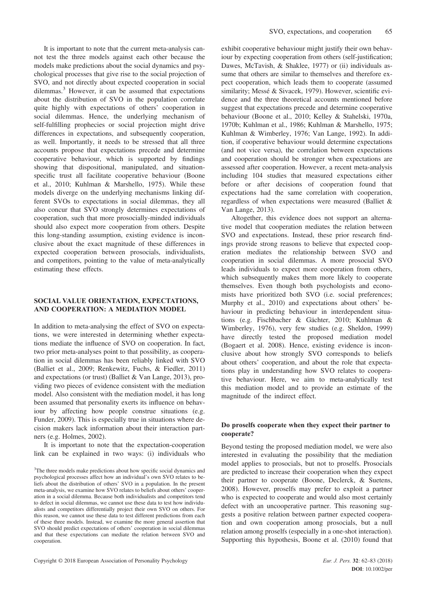It is important to note that the current meta-analysis cannot test the three models against each other because the models make predictions about the social dynamics and psychological processes that give rise to the social projection of SVO, and not directly about expected cooperation in social  $d$ ilemmas.<sup>3</sup> However, it can be assumed that expectations about the distribution of SVO in the population correlate quite highly with expectations of others' cooperation in social dilemmas. Hence, the underlying mechanism of self-fulfilling prophecies or social projection might drive differences in expectations, and subsequently cooperation, as well. Importantly, it needs to be stressed that all three accounts propose that expectations precede and determine cooperative behaviour, which is supported by findings showing that dispositional, manipulated, and situationspecific trust all facilitate cooperative behaviour (Boone et al., 2010; Kuhlman & Marshello, 1975). While these models diverge on the underlying mechanisms linking different SVOs to expectations in social dilemmas, they all also concur that SVO strongly determines expectations of cooperation, such that more prosocially-minded individuals should also expect more cooperation from others. Despite this long-standing assumption, existing evidence is inconclusive about the exact magnitude of these differences in expected cooperation between prosocials, individualists, and competitors, pointing to the value of meta-analytically estimating these effects.

# SOCIAL VALUE ORIENTATION, EXPECTATIONS, AND COOPERATION: A MEDIATION MODEL

In addition to meta-analysing the effect of SVO on expectations, we were interested in determining whether expectations mediate the influence of SVO on cooperation. In fact, two prior meta-analyses point to that possibility, as cooperation in social dilemmas has been reliably linked with SVO (Balliet et al., 2009; Renkewitz, Fuchs, & Fiedler, 2011) and expectations (or trust) (Balliet & Van Lange, 2013), providing two pieces of evidence consistent with the mediation model. Also consistent with the mediation model, it has long been assumed that personality exerts its influence on behaviour by affecting how people construe situations (e.g. Funder, 2009). This is especially true in situations where decision makers lack information about their interaction partners (e.g. Holmes, 2002).

It is important to note that the expectation-cooperation link can be explained in two ways: (i) individuals who exhibit cooperative behaviour might justify their own behaviour by expecting cooperation from others (self-justification; Dawes, McTavish, & Shaklee, 1977) or (ii) individuals assume that others are similar to themselves and therefore expect cooperation, which leads them to cooperate (assumed similarity; Messé & Sivacek, 1979). However, scientific evidence and the three theoretical accounts mentioned before suggest that expectations precede and determine cooperative behaviour (Boone et al., 2010; Kelley & Stahelski, 1970a, 1970b; Kuhlman et al., 1986; Kuhlman & Marshello, 1975; Kuhlman & Wimberley, 1976; Van Lange, 1992). In addition, if cooperative behaviour would determine expectations (and not vice versa), the correlation between expectations and cooperation should be stronger when expectations are assessed after cooperation. However, a recent meta-analysis including 104 studies that measured expectations either before or after decisions of cooperation found that expectations had the same correlation with cooperation, regardless of when expectations were measured (Balliet & Van Lange, 2013).

Altogether, this evidence does not support an alternative model that cooperation mediates the relation between SVO and expectations. Instead, these prior research findings provide strong reasons to believe that expected cooperation mediates the relationship between SVO and cooperation in social dilemmas. A more prosocial SVO leads individuals to expect more cooperation from others, which subsequently makes them more likely to cooperate themselves. Even though both psychologists and economists have prioritized both SVO (i.e. social preferences; Murphy et al., 2010) and expectations about others' behaviour in predicting behaviour in interdependent situations (e.g. Fischbacher & Gächter, 2010; Kuhlman & Wimberley, 1976), very few studies (e.g. Sheldon, 1999) have directly tested the proposed mediation model (Bogaert et al. 2008). Hence, existing evidence is inconclusive about how strongly SVO corresponds to beliefs about others' cooperation, and about the role that expectations play in understanding how SVO relates to cooperative behaviour. Here, we aim to meta-analytically test this mediation model and to provide an estimate of the magnitude of the indirect effect.

## Do proselfs cooperate when they expect their partner to cooperate?

Beyond testing the proposed mediation model, we were also interested in evaluating the possibility that the mediation model applies to prosocials, but not to proselfs. Prosocials are predicted to increase their cooperation when they expect their partner to cooperate (Boone, Declerck, & Suetens, 2008). However, proselfs may prefer to exploit a partner who is expected to cooperate and would also most certainly defect with an uncooperative partner. This reasoning suggests a positive relation between partner expected cooperation and own cooperation among prosocials, but a null relation among proselfs (especially in a one-shot interaction). Supporting this hypothesis, Boone et al. (2010) found that

<sup>&</sup>lt;sup>3</sup>The three models make predictions about how specific social dynamics and psychological processes affect how an individual's own SVO relates to beliefs about the distribution of others' SVO in a population. In the present meta-analysis, we examine how SVO relates to beliefs about others' cooperation in a social dilemma. Because both individualists and competitors tend to defect in social dilemmas, we cannot use these data to test how individualists and competitors differentially project their own SVO on others. For this reason, we cannot use these data to test different predictions from each of these three models. Instead, we examine the more general assertion that SVO should predict expectations of others' cooperation in social dilemmas and that these expectations can mediate the relation between SVO and cooperation.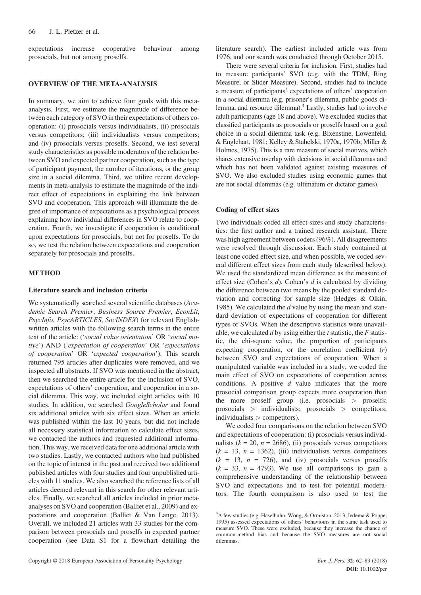expectations increase cooperative behaviour among prosocials, but not among proselfs.

## OVERVIEW OF THE META-ANALYSIS

In summary, we aim to achieve four goals with this metaanalysis. First, we estimate the magnitude of difference between each category of SVO in their expectations of others cooperation: (i) prosocials versus individualists, (ii) prosocials versus competitors; (iii) individualists versus competitors; and (iv) prosocials versus proselfs. Second, we test several study characteristics as possible moderators of the relation between SVO and expected partner cooperation, such as the type of participant payment, the number of iterations, or the group size in a social dilemma. Third, we utilize recent developments in meta-analysis to estimate the magnitude of the indirect effect of expectations in explaining the link between SVO and cooperation. This approach will illuminate the degree of importance of expectations as a psychological process explaining how individual differences in SVO relate to cooperation. Fourth, we investigate if cooperation is conditional upon expectations for prosocials, but not for proselfs. To do so, we test the relation between expectations and cooperation separately for prosocials and proselfs.

### **METHOD**

## Literature search and inclusion criteria

We systematically searched several scientific databases (Academic Search Premier, Business Source Premier, EconLit, PsycInfo, PsycARTICLES, SocINDEX) for relevant Englishwritten articles with the following search terms in the entire text of the article: ('social value orientation' OR 'social motive') AND ('expectation of cooperation' OR 'expectations of cooperation' OR 'expected cooperation'). This search returned 795 articles after duplicates were removed, and we inspected all abstracts. If SVO was mentioned in the abstract, then we searched the entire article for the inclusion of SVO, expectations of others' cooperation, and cooperation in a social dilemma. This way, we included eight articles with 10 studies. In addition, we searched *GoogleScholar* and found six additional articles with six effect sizes. When an article was published within the last 10 years, but did not include all necessary statistical information to calculate effect sizes, we contacted the authors and requested additional information. This way, we received data for one additional article with two studies. Lastly, we contacted authors who had published on the topic of interest in the past and received two additional published articles with four studies and four unpublished articles with 11 studies. We also searched the reference lists of all articles deemed relevant in this search for other relevant articles. Finally, we searched all articles included in prior metaanalyses on SVO and cooperation (Balliet et al., 2009) and expectations and cooperation (Balliet & Van Lange, 2013). Overall, we included 21 articles with 33 studies for the comparison between prosocials and proselfs in expected partner cooperation (see [Data S1](http://osf.io/2dc4p) for a flowchart detailing the

literature search). The earliest included article was from 1976, and our search was conducted through October 2015.

There were several criteria for inclusion. First, studies had to measure participants' SVO (e.g. with the TDM, Ring Measure, or Slider Measure). Second, studies had to include a measure of participants' expectations of others' cooperation in a social dilemma (e.g. prisoner's dilemma, public goods dilemma, and resource dilemma).4 Lastly, studies had to involve adult participants (age 18 and above). We excluded studies that classified participants as prosocials or proselfs based on a goal choice in a social dilemma task (e.g. Bixenstine, Lowenfeld, & Englehart, 1981; Kelley & Stahelski, 1970a, 1970b; Miller & Holmes, 1975). This is a rare measure of social motives, which shares extensive overlap with decisions in social dilemmas and which has not been validated against existing measures of SVO. We also excluded studies using economic games that are not social dilemmas (e.g. ultimatum or dictator games).

# Coding of effect sizes

Two individuals coded all effect sizes and study characteristics: the first author and a trained research assistant. There was high agreement between coders (96%). All disagreements were resolved through discussion. Each study contained at least one coded effect size, and when possible, we coded several different effect sizes from each study (described below). We used the standardized mean difference as the measure of effect size (Cohen's  $d$ ). Cohen's  $d$  is calculated by dividing the difference between two means by the pooled standard deviation and correcting for sample size (Hedges & Olkin, 1985). We calculated the  $d$  value by using the mean and standard deviation of expectations of cooperation for different types of SVOs. When the descriptive statistics were unavailable, we calculated  $d$  by using either the t statistic, the  $F$  statistic, the chi-square value, the proportion of participants expecting cooperation, or the correlation coefficient (r) between SVO and expectations of cooperation. When a manipulated variable was included in a study, we coded the main effect of SVO on expectations of cooperation across conditions. A positive  $d$  value indicates that the more prosocial comparison group expects more cooperation than the more proself group (i.e. prosocials  $>$  proselfs; prosocials > individualists; prosocials > competitors; individualists > competitors).

We coded four comparisons on the relation between SVO and expectations of cooperation: (i) prosocials versus individualists ( $k = 20$ ,  $n = 2686$ ), (ii) prosocials versus competitors  $(k = 13, n = 1362)$ , (iii) individualists versus competitors  $(k = 13, n = 726)$ , and (iv) prosocials versus proselfs  $(k = 33, n = 4793)$ . We use all comparisons to gain a comprehensive understanding of the relationship between SVO and expectations and to test for potential moderators. The fourth comparison is also used to test the

<sup>4</sup> A few studies (e.g. Haselhuhn, Wong, & Ormiston, 2013; Iedema & Poppe, 1995) assessed expectations of others' behaviours in the same task used to measure SVO. These were excluded, because they increase the chance of common-method bias and because the SVO measures are not social dilemmas.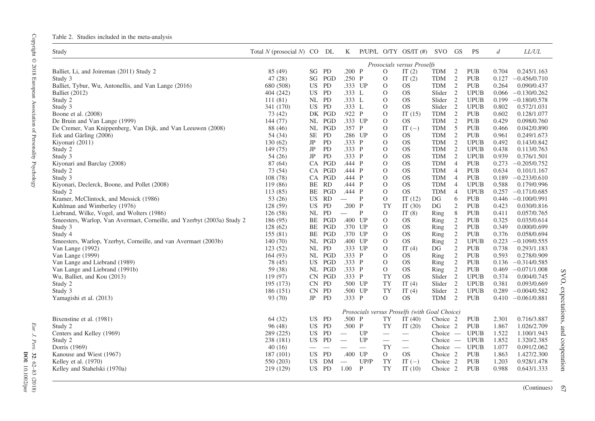Table 2. Studies included in the meta-analysis

| Study                                                                   | Total $N$ (prosocial $N$ ) CO DL |                 |                          | K                        |                   |                   | $P/UP/L$ O/TY OS/IT $(\#)$                    | SVO GS     |                | <b>PS</b>   | d     | LL/UL                 |
|-------------------------------------------------------------------------|----------------------------------|-----------------|--------------------------|--------------------------|-------------------|-------------------|-----------------------------------------------|------------|----------------|-------------|-------|-----------------------|
|                                                                         |                                  |                 |                          |                          |                   |                   | Prosocials versus Proselfs                    |            |                |             |       |                       |
| Balliet, Li, and Joireman (2011) Study 2                                | 85 (49)                          | SG              | PD                       | .200 P                   |                   | $\mathbf{O}$      | IT $(2)$                                      | <b>TDM</b> | 2              | <b>PUB</b>  | 0.704 | 0.245/1.163           |
| Study 3                                                                 | 47 (28)                          | SG              | PGD                      | .250 P                   |                   | $\mathbf{O}$      | IT $(2)$                                      | <b>TDM</b> | $\sqrt{2}$     | <b>PUB</b>  | 0.127 | $-0.456/0.710$        |
| Balliet, Tybur, Wu, Antonellis, and Van Lange (2016)                    | 680 (508)                        | US.             | <b>PD</b>                | .333 UP                  |                   | $\Omega$          | <b>OS</b>                                     | <b>TDM</b> | $\overline{2}$ | <b>PUB</b>  | 0.264 | 0.090/0.437           |
| Balliet (2012)                                                          | 404 (242)                        | US.             | PD                       | .333 L                   |                   | $\Omega$          | <b>OS</b>                                     | Slider     | 2              | <b>UPUB</b> | 0.066 | $-0.130/0.262$        |
| Study 2                                                                 | 111(81)                          | NL PD           |                          | .333 L                   |                   | $\mathcal{O}$     | <b>OS</b>                                     | Slider     | 2              | <b>UPUB</b> |       | $0.199 - 0.180/0.578$ |
| Study 3                                                                 | 341 (170)                        | US <sub>1</sub> | PD                       | .333 L                   |                   | $\Omega$          | <b>OS</b>                                     | Slider     | 2              | <b>UPUB</b> | 0.802 | 0.572/1.031           |
| Boone et al. (2008)                                                     | 73 (42)                          |                 | DK PGD                   | .922 P                   |                   | $\mathbf{O}$      | IT $(15)$                                     | <b>TDM</b> | 2              | <b>PUB</b>  | 0.602 | 0.128/1.077           |
| De Bruin and Van Lange (1999)                                           | 144 (77)                         |                 | NL PGD                   | .333 UP                  |                   | $\Omega$          | <b>OS</b>                                     | <b>TDM</b> | $\sqrt{2}$     | <b>PUB</b>  | 0.429 | 0.098/0.760           |
| De Cremer, Van Knippenberg, Van Dijk, and Van Leeuwen (2008)            | 88 (46)                          | NL              | PGD                      | .357 P                   |                   | $\mathcal{O}$     | IT $(-)$                                      | <b>TDM</b> | 5              | <b>PUB</b>  | 0.466 | 0.042/0.890           |
| Eek and Gärling (2006)                                                  | 54 (34)                          | <b>SE</b>       | PD                       | .286 UP                  |                   | $\Omega$          | <b>OS</b>                                     | <b>TDM</b> | $\overline{2}$ | <b>PUB</b>  | 0.961 | 0.249/1.673           |
| Kiyonari (2011)                                                         | 130(62)                          | JP              | ${\rm PD}$               | .333 P                   |                   | $\Omega$          | <b>OS</b>                                     | <b>TDM</b> | $\sqrt{2}$     | <b>UPUB</b> | 0.492 | 0.143/0.842           |
| Study 2                                                                 | 149(75)                          | JP              | PD                       | .333 P                   |                   | $\mathcal{O}$     | <b>OS</b>                                     | <b>TDM</b> | $\overline{2}$ | <b>UPUB</b> | 0.438 | 0.113/0.763           |
| Study 3                                                                 | 54(26)                           | $\rm JP$        | PD                       | .333 P                   |                   | $\Omega$          | <b>OS</b>                                     | <b>TDM</b> | 2              | <b>UPUB</b> | 0.939 | 0.376/1.501           |
| Kiyonari and Barclay (2008)                                             | 87 (64)                          | CA              | PGD                      | .444 P                   |                   | $\Omega$          | <b>OS</b>                                     | <b>TDM</b> | $\overline{4}$ | <b>PUB</b>  | 0.273 | $-0.205/0.752$        |
| Study 2                                                                 | 73 (54)                          | CA              | PGD                      | .444 P                   |                   | $\Omega$          | <b>OS</b>                                     | <b>TDM</b> | $\overline{4}$ | <b>PUB</b>  | 0.634 | 0.101/1.167           |
| Study 3                                                                 | 108 (78)                         |                 | CA PGD                   | .444 P                   |                   | $\Omega$          | <b>OS</b>                                     | <b>TDM</b> | $\overline{4}$ | <b>PUB</b>  | 0.189 | $-0.233/0.610$        |
|                                                                         | 119 (86)                         | BE              | <b>RD</b>                | .444 P                   |                   | $\mathbf{O}$      | <b>OS</b>                                     | <b>TDM</b> | $\overline{4}$ | <b>UPUB</b> | 0.588 | 0.179/0.996           |
| Kiyonari, Declerck, Boone, and Pollet (2008)<br>Study 2                 | 113(85)                          | BE              | PGD                      | .444 P                   |                   | $\Omega$          | <b>OS</b>                                     | <b>TDM</b> | $\overline{4}$ | <b>UPUB</b> | 0.257 | $-0.171/0.685$        |
| Kramer, McClintock, and Messick (1986)                                  | 53 (26)                          | US              | <b>RD</b>                | $\overline{\phantom{a}}$ | P                 | $\mathbf{O}$      |                                               | DG         | 6              | <b>PUB</b>  |       | $0.446 - 0.100/0.991$ |
| Kuhlman and Wimberley (1976)                                            |                                  | <b>US</b>       | <b>PD</b>                | .200 P                   |                   | TY                | IT $(12)$<br>IT $(30)$                        | DG         | 2              | <b>PUB</b>  | 0.423 | 0.030/0.816           |
|                                                                         | 128 (59)                         |                 |                          |                          |                   |                   |                                               |            |                |             |       |                       |
| Liebrand, Wilke, Vogel, and Wolters (1986)                              | 126(58)                          | NL              | PD                       | $\overline{\phantom{0}}$ | P                 | $\Omega$          | IT $(8)$                                      | Ring       | $\,8$          | <b>PUB</b>  | 0.411 | 0.057/0.765           |
| Smeesters, Warlop, Van Avermaet, Corneille, and Yzerbyt (2003a) Study 2 | 186 (95)                         | BE              | PGD                      | .400 UP                  |                   | $\mathcal{O}$     | OS.                                           | Ring       | $\overline{c}$ | <b>PUB</b>  | 0.325 | 0.035/0.614           |
| Study 3                                                                 | 128(62)                          | BE              | PGD                      | .370 UP                  |                   | $\Omega$          | <b>OS</b>                                     | Ring       | 2              | <b>PUB</b>  | 0.349 | 0.000/0.699           |
| Study 4                                                                 | 155(81)                          | BE              | PGD                      | .370 UP                  |                   | $\Omega$          | <b>OS</b>                                     | Ring       | $\sqrt{2}$     | <b>PUB</b>  | 0.376 | 0.058/0.694           |
| Smeesters, Warlop, Yzerbyt, Corneille, and van Avermaet (2003b)         | 140(70)                          | NL              | PGD                      | .400 UP                  |                   | $\Omega$          | <b>OS</b>                                     | Ring       | $\overline{2}$ | <b>UPUB</b> | 0.223 | $-0.109/0.555$        |
| Van Lange (1992)                                                        | 123(52)                          | NL PD           |                          | .333 UP                  |                   | $\Omega$          | IT $(4)$                                      | DG         | $\sqrt{2}$     | <b>PUB</b>  | 0.738 | 0.293/1.183           |
| Van Lange (1999)                                                        | 164(93)                          | NL              | PGD                      | .333 P                   |                   | $\mathbf{O}$      | <b>OS</b>                                     | Ring       | $\sqrt{2}$     | <b>PUB</b>  | 0.593 | 0.278/0.909           |
| Van Lange and Liebrand (1989)                                           | 78 (45)                          | <b>US</b>       | PGD                      | .333 P                   |                   | $\Omega$          | <b>OS</b>                                     | Ring       | $\sqrt{2}$     | <b>PUB</b>  |       | $0.136 -0.314/0.585$  |
| Van Lange and Liebrand (1991b)                                          | 59 (38)                          |                 | NL PGD                   | .333 P                   |                   | $\Omega$          | <b>OS</b>                                     | Ring       | $\sqrt{2}$     | <b>PUB</b>  | 0.469 | $-0.071/1.008$        |
| Wu, Balliet, and Kou (2013)                                             | 119 (97)                         |                 | CN PGD                   | .333 P                   |                   | TY                | <b>OS</b>                                     | Slider     | 2              | <b>UPUB</b> | 0.374 | 0.004/0.745           |
| Study 2                                                                 | 195 (173)                        | CN PD           |                          | .500 UP                  |                   | TY                | IT $(4)$                                      | Slider     | 2              | <b>UPUB</b> | 0.381 | 0.093/0.669           |
| Study 3                                                                 | 186 (151)                        | CN PD           |                          | .500 UP                  |                   | TY                | IT $(4)$                                      | Slider     | 2              | <b>UPUB</b> | 0.289 | $-0.004/0.582$        |
| Yamagishi et al. (2013)                                                 | 93 (70)                          | JP              | PD                       | .333 P                   |                   | $\Omega$          | <b>OS</b>                                     | <b>TDM</b> | 2              | <b>PUB</b>  |       | $0.410 -0.061/0.881$  |
|                                                                         |                                  |                 |                          |                          |                   |                   | Prosocials versus Proselfs (with Goal Choice) |            |                |             |       |                       |
| Bixenstine et al. (1981)                                                | 64 (32)                          | US PD           |                          | .500 P                   |                   | TY                | IT $(40)$                                     | Choice 2   |                | PUB         | 2.301 | 0.716/3.887           |
| Study 2                                                                 | 96 (48)                          | US              | PD                       | .500 P                   |                   | TY                | IT $(20)$                                     | Choice 2   |                | <b>PUB</b>  | 1.867 | 1.026/2.709           |
| Centers and Kelley (1969)                                               | 289 (225)                        | <b>US</b>       | PD                       |                          | UP                | $\hspace{0.05cm}$ | $\qquad \qquad$                               | $Choice -$ |                | <b>UPUB</b> | 1.522 | 1.100/1.943           |
| Study 2                                                                 | 238 (181)                        | US <sub>1</sub> | PD                       |                          | UP                | $\hspace{0.05cm}$ | $\hspace{0.05cm}$                             | $Choice -$ |                | <b>UPUB</b> | 1.852 | 1.320/2.385           |
| Dorris (1969)                                                           | 40(16)                           |                 | $\overline{\phantom{0}}$ |                          | $\hspace{0.05cm}$ | <b>TY</b>         | $\hspace{0.05cm}$                             | $Choice -$ |                | <b>UPUB</b> | 1.077 | 0.091/2.062           |
| Kanouse and Wiest (1967)                                                | 187(101)                         | US.             | PD                       | .400 UP                  |                   | $\overline{O}$    | <b>OS</b>                                     | Choice 2   |                | <b>PUB</b>  | 1.863 | 1.427/2.300           |
| Kelley et al. (1970)                                                    | 550 (203)                        | <b>US</b>       | DM                       | $\overline{\phantom{m}}$ | UP/P              | TY                | IT $(-)$                                      | Choice 2   |                | <b>PUB</b>  | 1.203 | 0.928/1.478           |
| Kelley and Stahelski (1970a)                                            | 219 (129)                        | US              | PD                       | 1.00                     | P                 | TY                | IT $(10)$                                     | Choice 2   |                | <b>PUB</b>  | 0.988 | 0.643/1.333           |

 $SVO$ , expectations, and cooperation 67 (Continues)  $\mathcal{L}9$ 

SVO, expectations, and cooperation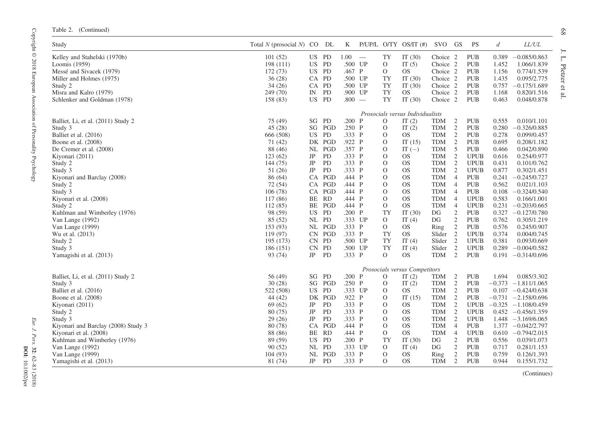| Study                               | Total $N$ (prosocial $N$ ) CO DL |                          |           | K        |                          |                | $P/UP/L$ $O/TY$ $OS/IT$ $(#)$    | SVO GS            |                | PS                           | $\overline{d}$ | LL/UL                 |
|-------------------------------------|----------------------------------|--------------------------|-----------|----------|--------------------------|----------------|----------------------------------|-------------------|----------------|------------------------------|----------------|-----------------------|
| Kelley and Stahelski (1970b)        | 101(52)                          |                          | US PD     | 1.00     | $\overline{\phantom{a}}$ | <b>TY</b>      | IT $(30)$                        | Choice 2          |                | <b>PUB</b>                   | 0.389          | $-0.085/0.863$        |
| Loomis (1959)                       | 198 (111)                        | <b>US</b>                | PD        | .500 UP  |                          | $\mathcal{O}$  | IT $(5)$                         | Choice 2          |                | <b>PUB</b>                   | 1.452          | 1.066/1.839           |
| Messé and Sivacek (1979)            | 172 (73)                         | <b>US</b>                | PD        | .467 P   |                          | $\mathcal{O}$  | <b>OS</b>                        | Choice 2          |                | <b>PUB</b>                   | 1.156          | 0.774/1.539           |
| Miller and Holmes (1975)            | 36(28)                           |                          | CA PD     | .500 UP  |                          | <b>TY</b>      | IT $(30)$                        | Choice 2          |                | <b>PUB</b>                   | 1.435          | 0.095/2.775           |
| Study 2                             | 34(26)                           | <b>CA</b>                | PD        | .500 UP  |                          | <b>TY</b>      | IT $(30)$                        | Choice 2          |                | <b>PUB</b>                   | 0.757          | $-0.175/1.689$        |
| Misra and Kalro (1979)              | 249 (70)                         | $\ensuremath{\text{IN}}$ | PD        | .900 UP  |                          | <b>TY</b>      | <b>OS</b>                        | Choice 2          |                | <b>PUB</b>                   | 1.168          | 0.820/1.516           |
| Schlenker and Goldman (1978)        | 158 (83)                         | US.                      | PD        | $.800 -$ |                          | <b>TY</b>      | IT $(30)$                        | Choice 2          |                | <b>PUB</b>                   | 0.463          | 0.048/0.878           |
|                                     |                                  |                          |           |          |                          |                | Prosocials versus Individualists |                   |                |                              |                |                       |
| Balliet, Li, et al. (2011) Study 2  | 75 (49)                          | $SG$                     | PD        | .200 $P$ |                          | $\mathcal{O}$  | IT $(2)$                         | <b>TDM</b>        | 2              | <b>PUB</b>                   | 0.555          | 0.010/1.101           |
| Study 3                             | 45(28)                           | SG                       | PGD       | .250 P   |                          | $\mathcal{O}$  | IT $(2)$                         | <b>TDM</b>        | 2              | <b>PUB</b>                   | 0.280          | $-0.326/0.885$        |
| Balliet et al. (2016)               | 666 (508)                        | <b>US</b>                | <b>PD</b> | .333 P   |                          | $\overline{O}$ | <b>OS</b>                        | <b>TDM</b>        | 2              | <b>PUB</b>                   | 0.278          | 0.099/0.457           |
| Boone et al. (2008)                 | 71(42)                           |                          | DK PGD    | .922 P   |                          | $\mathcal{O}$  | IT $(15)$                        | <b>TDM</b>        | $\overline{c}$ | <b>PUB</b>                   | 0.695          | 0.208/1.182           |
| De Cremer et al. (2008)             | 88 (46)                          | NL                       | PGD       | .357 P   |                          | $\mathcal{O}$  | IT $(-)$                         | <b>TDM</b>        | $\sqrt{5}$     | PUB                          | 0.466          | 0.042/0.890           |
| Kiyonari (2011)                     | 123(62)                          | $\rm JP$                 | PD        | .333 P   |                          | $\mathcal{O}$  | <b>OS</b>                        | <b>TDM</b>        | 2              | <b>UPUB</b>                  | 0.616          | 0.254/0.977           |
| Study 2                             | 144 (75)                         | $\rm{JP}$                | PD        | .333 P   |                          | $\mathcal{O}$  | <b>OS</b>                        | <b>TDM</b>        | 2              | <b>UPUB</b>                  | 0.431          | 0.101/0.762           |
| Study 3                             | 51 (26)                          | $\rm JP$                 | PD        | .333 P   |                          | $\mathcal{O}$  | <b>OS</b>                        | <b>TDM</b>        | $\overline{2}$ | <b>UPUB</b>                  | 0.877          | 0.302/1.451           |
| Kiyonari and Barclay (2008)         | 86 (64)                          |                          | CA PGD    | .444 P   |                          | $\Omega$       | <b>OS</b>                        | <b>TDM</b>        | $\overline{4}$ | <b>PUB</b>                   | 0.241          | $-0.245/0.727$        |
| Study 2                             | 72 (54)                          | CA                       | PGD       | .444 P   |                          | $\mathcal{O}$  | <b>OS</b>                        | <b>TDM</b>        | $\overline{4}$ | <b>PUB</b>                   | 0.562          | 0.021/1.103           |
| Study 3                             | 106 (78)                         | CA                       | PGD       | .444 P   |                          | $\mathcal{O}$  | <b>OS</b>                        | <b>TDM</b>        | $\overline{4}$ | <b>PUB</b>                   | 0.108          | $-0.324/0.540$        |
| Kiyonari et al. (2008)              | 117 (86)                         | $\rm BE$                 | <b>RD</b> | .444 P   |                          | $\mathcal{O}$  | <b>OS</b>                        | <b>TDM</b>        | $\overline{4}$ | <b>UPUB</b>                  | 0.583          | 0.166/1.001           |
| Study 2                             | 112(85)                          | $\rm BE$                 | PGD       | .444 P   |                          | $\circ$        | <b>OS</b>                        | <b>TDM</b>        | $\overline{4}$ | <b>UPUB</b>                  |                | $0.231 -0.203/0.665$  |
| Kuhlman and Wimberley (1976)        | 98 (59)                          | <b>US</b>                | PD        | .200 P   |                          | <b>TY</b>      | IT $(30)$                        | DG                | $\sqrt{2}$     | <b>PUB</b>                   |                | $0.327 -0.127/0.780$  |
| Van Lange (1992)                    | 85 (52)                          | NL                       | PD        | .333 UP  |                          | $\mathcal{O}$  | IT $(4)$                         | DG                | $\sqrt{2}$     | <b>PUB</b>                   | 0.762          | 0.305/1.219           |
| Van Lange (1999)                    | 153 (93)                         | NL                       | PGD       | .333 P   |                          | $\overline{O}$ | <b>OS</b>                        | Ring              | $\overline{c}$ | PUB                          | 0.576          | 0.245/0.907           |
| Wu et al. (2013)                    | 119 (97)                         |                          | CN PGD    | .333 P   |                          | <b>TY</b>      | <b>OS</b>                        | Slider            | $\overline{2}$ | <b>UPUB</b>                  | 0.374          | 0.004/0.745           |
| Study 2                             | 195 (173)                        |                          | CN PD     | .500 UP  |                          | <b>TY</b>      | IT $(4)$                         | Slider            | 2              | <b>UPUB</b>                  | 0.381          | 0.093/0.669           |
| Study 3                             | 186 (151)                        | CN                       | PD        | .500 UP  |                          | <b>TY</b>      | IT $(4)$                         | Slider            | 2              | <b>UPUB</b>                  | 0.289          | $-0.004/0.582$        |
| Yamagishi et al. (2013)             | 93 (74)                          | JP                       | PD        | .333 P   |                          | $\overline{O}$ | <b>OS</b>                        | <b>TDM</b>        | $\overline{2}$ | <b>PUB</b>                   | 0.191          | $-0.314/0.696$        |
|                                     |                                  |                          |           |          |                          |                | Prosocials versus Competitors    |                   |                |                              |                |                       |
| Balliet, Li, et al. (2011) Study 2  | 56 (49)                          | SG                       | PD        | .200 $P$ |                          | $\mathcal{O}$  | IT $(2)$                         | <b>TDM</b>        | 2              | <b>PUB</b>                   | 1.694          | 0.085/3.302           |
| Study 3                             | 30(28)                           | SG                       | PGD       | .250 P   |                          | $\mathcal{O}$  | IT $(2)$                         | <b>TDM</b>        | $\overline{2}$ | <b>PUB</b>                   |                | $-0.373 -1.811/1.065$ |
| Balliet et al. (2016)               | 522 (508)                        | <b>US</b>                | <b>PD</b> | .333 UP  |                          | $\mathcal{O}$  | OS.                              | <b>TDM</b>        | 2              | <b>PUB</b>                   |                | $0.107 -0.424/0.638$  |
| Boone et al. (2008)                 | 44 (42)                          | DK                       | PGD       | .922 P   |                          | $\Omega$       | IT(15)                           | <b>TDM</b>        | 2              | <b>PUB</b>                   |                | $-0.731 -2.158/0.696$ |
| Kiyonari (2011)                     | 69(62)                           | JP                       | PD        | .333 P   |                          | $\mathcal{O}$  | <b>OS</b>                        | <b>TDM</b>        | 2              | $\ensuremath{\mathrm{UPUB}}$ |                | $-0.325 -1.108/0.459$ |
| Study 2                             | 80 (75)                          | $\rm{JP}$                | PD        | .333 P   |                          | $\mathcal{O}$  | <b>OS</b>                        | <b>TDM</b>        | $\overline{2}$ | <b>UPUB</b>                  |                | $0.452 -0.456/1.359$  |
| Study 3                             | 29(26)                           | JP                       | PD        | .333 P   |                          | $\mathcal{O}$  | <b>OS</b>                        | <b>TDM</b>        | 2              | <b>UPUB</b>                  |                | $1.448 - 3.169/6.065$ |
| Kiyonari and Barclay (2008) Study 3 | 80 (78)                          | CA                       | PGD       | .444 P   |                          | $\mathcal{O}$  | <b>OS</b>                        | <b>TDM</b>        | $\overline{4}$ | <b>PUB</b>                   |                | $1.377 -0.042/2.797$  |
| Kiyonari et al. (2008)              | 88 (86)                          | BE                       | <b>RD</b> | .444 P   |                          | $\mathbf{O}$   | <b>OS</b>                        | <b>TDM</b>        | $\overline{4}$ | <b>UPUB</b>                  | 0.610          | $-0.794/2.015$        |
| Kuhlman and Wimberley (1976)        | 89 (59)                          | <b>US</b>                | PD        | .200 P   |                          | <b>TY</b>      | IT $(30)$                        | $\mathop{\rm DG}$ | 2              | PUB                          | 0.556          | 0.039/1.073           |
| Van Lange (1992)                    | 90 (52)                          | NL                       | PD        | .333 UP  |                          | $\mathbf{O}$   | IT $(4)$                         | DG                | $\sqrt{2}$     | <b>PUB</b>                   | 0.717          | 0.281/1.153           |
| Van Lange (1999)                    | 104 (93)                         | NL                       | PGD       | .333 P   |                          | $\Omega$       | <b>OS</b>                        | Ring              | $\sqrt{2}$     | <b>PUB</b>                   | 0.759          | 0.126/1.393           |
| Yamagishi et al. (2013)             | 81 (74)                          | JP                       | PD        | .333 P   |                          | $\Omega$       | OS                               | <b>TDM</b>        | $\overline{2}$ | <b>PUB</b>                   | 0.944          | 0.155/1.732           |

Table 2. (Continued)

(Continues)

68 J. L. Pletzer et al.

J. L. Pletzer et al.

89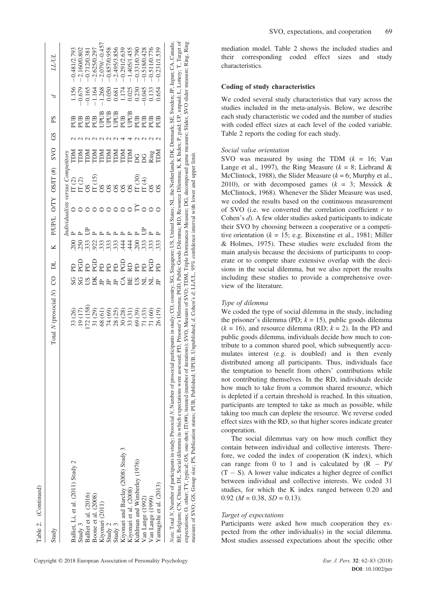| Table 2. (Continued)                                   |                            |
|--------------------------------------------------------|----------------------------|
| Study                                                  | Total N (prosocial N)      |
|                                                        |                            |
| Balliet, Li, et al. (2011) Study 2                     |                            |
| Study 3                                                | (17)<br>33 (26)<br>19 (17) |
| Balliet et al. (2016)                                  | 172 (158)                  |
| Boone et al. (2008)                                    |                            |
| Kiyonari (2011)                                        |                            |
|                                                        |                            |
| Study 2<br>Study 3                                     |                            |
| Kiyonari and Barclay (2008) Study 3                    |                            |
|                                                        |                            |
| Kiyonari et al. (2008)<br>Kuhlman and Wimberley (1976) |                            |
| Van Lange (1992)                                       |                            |
| Van Lange $(1999)$                                     |                            |
|                                                        |                            |

N) CO DL K P/UP/L O/TY OS/IT (#) SVO GS PS d d LL/UL

**OS/IT** 

**OTY** 

P/UP/L

 $\overline{\mathbf{z}}$ 

**DL** 

 $\overline{C}$ 

versus Competitors  $($ # $)$ 

**LL/UL** 

 $\overline{d}$ 

 $PS$ 

 $\tilde{S}$ 

SVO

|                                                                                                                                                                                                                                                                                                                                                                                                                                                                                       |                                                                                                                                                                                                                                                                                                                                                                  |               |           |     |         | Individualists versus Competitors |                           |     |                                                       |                |
|---------------------------------------------------------------------------------------------------------------------------------------------------------------------------------------------------------------------------------------------------------------------------------------------------------------------------------------------------------------------------------------------------------------------------------------------------------------------------------------|------------------------------------------------------------------------------------------------------------------------------------------------------------------------------------------------------------------------------------------------------------------------------------------------------------------------------------------------------------------|---------------|-----------|-----|---------|-----------------------------------|---------------------------|-----|-------------------------------------------------------|----------------|
| Balliet, Li, et al. (2011) Study 2                                                                                                                                                                                                                                                                                                                                                                                                                                                    |                                                                                                                                                                                                                                                                                                                                                                  |               |           |     |         | IT(2)                             |                           |     | 1.156                                                 | $-0.481/2.793$ |
| Study 3                                                                                                                                                                                                                                                                                                                                                                                                                                                                               |                                                                                                                                                                                                                                                                                                                                                                  | $\rm{SG}$     | PСI       |     |         | $\Gamma$ (2)                      | ĔΩ                        |     | 0.679                                                 | $-2.160/0.802$ |
| Balliet et al. (2016)                                                                                                                                                                                                                                                                                                                                                                                                                                                                 | 38 <sup>1</sup>                                                                                                                                                                                                                                                                                                                                                  | $^{20}$       | <b>Qd</b> |     |         |                                   | Ř                         |     | $-0.165$                                              | $-0.71200.381$ |
| Boone et al. (2008)                                                                                                                                                                                                                                                                                                                                                                                                                                                                   | (29)                                                                                                                                                                                                                                                                                                                                                             | ĎК            | PGI       |     |         |                                   | Ř                         |     | $-1.164$                                              | $-2.625/0.297$ |
| Kiyonari (2011)                                                                                                                                                                                                                                                                                                                                                                                                                                                                       |                                                                                                                                                                                                                                                                                                                                                                  | $\triangle$   |           |     |         | ⊕ງ<br>⊏88888                      |                           |     |                                                       | $-2.079/-0.45$ |
| Study 2                                                                                                                                                                                                                                                                                                                                                                                                                                                                               | $\overline{7}$                                                                                                                                                                                                                                                                                                                                                   | $\triangle$   | 日日日       |     |         |                                   | NGLI<br>NGLI              |     |                                                       | $-0.857/0.958$ |
| Study 3                                                                                                                                                                                                                                                                                                                                                                                                                                                                               | ම්ම් විශ්ව<br>28                                                                                                                                                                                                                                                                                                                                                 | $\triangle$   |           |     | $\circ$ |                                   | NATE<br>NGC<br>NGC<br>NGC |     | $-1.268$<br>0.050<br>0.681<br>1.174<br>1.174<br>1.025 | $-2.495/3.856$ |
| Kiyonari and Barclay (2008) Study 3                                                                                                                                                                                                                                                                                                                                                                                                                                                   | $\overline{\omega}$                                                                                                                                                                                                                                                                                                                                              | $\mathcal{L}$ |           |     | $\circ$ |                                   |                           |     |                                                       | $-0.291/2.639$ |
| Kiyonari et al. (2008)                                                                                                                                                                                                                                                                                                                                                                                                                                                                | 33                                                                                                                                                                                                                                                                                                                                                               | BE            |           |     |         |                                   |                           |     |                                                       | $-1.405/1.455$ |
| Kuhlman and Wimberley (1976)                                                                                                                                                                                                                                                                                                                                                                                                                                                          | (39)                                                                                                                                                                                                                                                                                                                                                             | CS            | ដ្ឋទទ     | 200 | N       |                                   |                           | PUB | 0.230                                                 | $-0.331/0.790$ |
| Van Lange (1992)                                                                                                                                                                                                                                                                                                                                                                                                                                                                      | (33)                                                                                                                                                                                                                                                                                                                                                             | ž             | <b>Qd</b> | 333 |         | $\frac{(30)}{\Gamma(4)}$          | <b>NOC SE</b><br>NOC SE   | EUB | 0.045                                                 | $-0.518/0.428$ |
| Van Lange (1999)                                                                                                                                                                                                                                                                                                                                                                                                                                                                      | 60                                                                                                                                                                                                                                                                                                                                                               | ž             | PGI       | 333 |         |                                   |                           | ΒΩc | 0.133                                                 |                |
| Yamagishi et al. (2013)                                                                                                                                                                                                                                                                                                                                                                                                                                                               | ĝ                                                                                                                                                                                                                                                                                                                                                                |               |           | 333 |         |                                   |                           | ЯŨк | 0.654                                                 | 0.231/1.539    |
| Note. Total N, Number of participants in study, Prosocial N, Number of prosocial participants in study, CO, country, SG, Singapore; US, United States; NL, the Netherlands; DK, Denmark; SE, Sweden; JP, Japan; CA, Canada<br>BE, Belgium; CN, China; DL, Social dilemma in which expectations were assessed<br>expectations; O, other; TY, typical; OS, one-shot; IT(##), iterated (number of iteral<br>measure of SVO; GS, Group size; PS, Publication status; PUB, Published; UPUB | t; PD, Prisoner's Dilemma; PGD, Public Goods Dilemma; RD, Resource Dilemma; K, K Index; P, paid; UP, unpaid; L, Lottery; T, Target o<br>ions); SVO, Measure of SVO; TDM, Triple Dominance Measure; DG, decomposed game measure; Slider, SVO slider measure; Ring, 1<br>Umpublished: $d$ , Cohen's $d$ ; LL/UL, 95% confidence interval with lower and upper limi |               |           |     |         |                                   |                           |     |                                                       |                |

mediation model. Table 2 shows the included studies and their corresponding coded effect sizes and study characteristics.

# Coding of study characteristics

We coded several study characteristics that vary across the studies included in the meta-analysis. Below, we describe each study characteristic we coded and the number of studies with coded effect sizes at each level of the coded variable. Table 2 reports the coding for each study.

# Social value orientation

SVO was measured by using the TDM  $(k = 16;$  Van Lange et al., 1997), the Ring Measure ( $k = 8$ ; Liebrand & McClintock, 1988), the Slider Measure ( $k = 6$ ; Murphy et al., 2010), or with decomposed games  $(k = 3)$ ; Messick & McClintock, 1968). Whenever the Slider Measure was used, we coded the results based on the continuous measurement of SVO (i.e. we converted the correlation coefficient  $r$  to Cohen's d). A few older studies asked participants to indicate their SVO by choosing between a cooperative or a competitive orientation ( $k = 15$ ; e.g. Bixenstine et al., 1981; Miller & Holmes, 1975). These studies were excluded from the main analysis because the decisions of participants to cooperate or to compete share extensive overlap with the decisions in the social dilemma, but we also report the results including these studies to provide a comprehensive overview of the literature.

# Type of dilemma

We coded the type of social dilemma in the study, including the prisoner's dilemma (PD;  $k = 15$ ), public goods dilemma  $(k = 16)$ , and resource dilemma (RD;  $k = 2$ ). In the PD and public goods dilemma, individuals decide how much to contribute to a common shared pool, which subsequently accumulates interest (e.g. is doubled) and is then evenly distributed among all participants. Thus, individuals face the temptation to benefit from others' contributions while not contributing themselves. In the RD, individuals decide how much to take from a common shared resource, which is depleted if a certain threshold is reached. In this situation, participants are tempted to take as much as possible, while taking too much can deplete the resource. We reverse coded effect sizes with the RD, so that higher scores indicate greater cooperation.

The social dilemmas vary on how much conflict they contain between individual and collective interests. Therefore, we coded the index of cooperation (K index), which can range from 0 to 1 and is calculated by  $(R - P)$ /  $(T - S)$ . A lower value indicates a higher degree of conflict between individual and collective interests. We coded 31 studies, for which the K index ranged between 0.20 and  $0.92$  ( $M = 0.38$ ,  $SD = 0.13$ ).

# Target of expectations

Participants were asked how much cooperation they expected from the other individual(s) in the social dilemma. Most studies assessed expectations about the specific other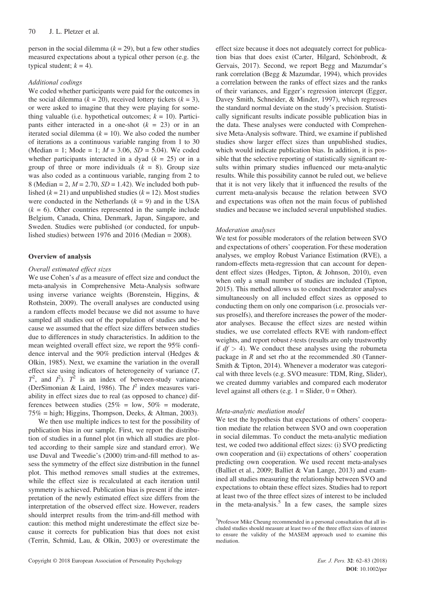person in the social dilemma ( $k = 29$ ), but a few other studies measured expectations about a typical other person (e.g. the typical student;  $k = 4$ ).

#### Additional codings

We coded whether participants were paid for the outcomes in the social dilemma ( $k = 20$ ), received lottery tickets ( $k = 3$ ), or were asked to imagine that they were playing for something valuable (i.e. hypothetical outcomes;  $k = 10$ ). Participants either interacted in a one-shot  $(k = 23)$  or in an iterated social dilemma ( $k = 10$ ). We also coded the number of iterations as a continuous variable ranging from 1 to 30 (Median = 1; Mode = 1;  $M = 3.06$ ,  $SD = 5.04$ ). We coded whether participants interacted in a dyad  $(k = 25)$  or in a group of three or more individuals  $(k = 8)$ . Group size was also coded as a continuous variable, ranging from 2 to 8 (Median = 2,  $M = 2.70$ ,  $SD = 1.42$ ). We included both published ( $k = 21$ ) and unpublished studies ( $k = 12$ ). Most studies were conducted in the Netherlands  $(k = 9)$  and in the USA  $(k = 6)$ . Other countries represented in the sample include Belgium, Canada, China, Denmark, Japan, Singapore, and Sweden. Studies were published (or conducted, for unpublished studies) between 1976 and 2016 (Median = 2008).

#### Overview of analysis

#### Overall estimated effect sizes

We use Cohen's d as a measure of effect size and conduct the meta-analysis in Comprehensive Meta-Analysis software using inverse variance weights (Borenstein, Higgins, & Rothstein, 2009). The overall analyses are conducted using a random effects model because we did not assume to have sampled all studies out of the population of studies and because we assumed that the effect size differs between studies due to differences in study characteristics. In addition to the mean weighted overall effect size, we report the 95% confidence interval and the 90% prediction interval (Hedges & Olkin, 1985). Next, we examine the variation in the overall effect size using indicators of heterogeneity of variance  $(T,$  $T^2$ , and  $\hat{I}^2$ ).  $\hat{T}^2$  is an index of between-study variance (DerSimonian & Laird, 1986). The  $I^2$  index measures variability in effect sizes due to real (as opposed to chance) differences between studies ( $25\% = \text{low}$ ,  $50\% = \text{moderate}$ , 75% = high; Higgins, Thompson, Deeks, & Altman, 2003).

We then use multiple indices to test for the possibility of publication bias in our sample. First, we report the distribution of studies in a funnel plot (in which all studies are plotted according to their sample size and standard error). We use Duval and Tweedie's (2000) trim-and-fill method to assess the symmetry of the effect size distribution in the funnel plot. This method removes small studies at the extremes, while the effect size is recalculated at each iteration until symmetry is achieved. Publication bias is present if the interpretation of the newly estimated effect size differs from the interpretation of the observed effect size. However, readers should interpret results from the trim-and-fill method with caution: this method might underestimate the effect size because it corrects for publication bias that does not exist (Terrin, Schmid, Lau, & Olkin, 2003) or overestimate the

effect size because it does not adequately correct for publication bias that does exist (Carter, Hilgard, Schönbrodt, & Gervais, 2017). Second, we report Begg and Mazumdar's rank correlation (Begg & Mazumdar, 1994), which provides a correlation between the ranks of effect sizes and the ranks of their variances, and Egger's regression intercept (Egger, Davey Smith, Schneider, & Minder, 1997), which regresses the standard normal deviate on the study's precision. Statistically significant results indicate possible publication bias in the data. These analyses were conducted with Comprehensive Meta-Analysis software. Third, we examine if published studies show larger effect sizes than unpublished studies, which would indicate publication bias. In addition, it is possible that the selective reporting of statistically significant results within primary studies influenced our meta-analytic results. While this possibility cannot be ruled out, we believe that it is not very likely that it influenced the results of the current meta-analysis because the relation between SVO and expectations was often not the main focus of published studies and because we included several unpublished studies.

#### Moderation analyses

We test for possible moderators of the relation between SVO and expectations of others' cooperation. For these moderation analyses, we employ Robust Variance Estimation (RVE), a random-effects meta-regression that can account for dependent effect sizes (Hedges, Tipton, & Johnson, 2010), even when only a small number of studies are included (Tipton, 2015). This method allows us to conduct moderator analyses simultaneously on all included effect sizes as opposed to conducting them on only one comparison (i.e. prosocials versus proselfs), and therefore increases the power of the moderator analyses. Because the effect sizes are nested within studies, we use correlated effects RVE with random-effect weights, and report robust *t*-tests (results are only trustworthy if  $df > 4$ ). We conduct these analyses using the robumeta package in R and set rho at the recommended .80 (Tanner-Smith & Tipton, 2014). Whenever a moderator was categorical with three levels (e.g. SVO measure: TDM, Ring, Slider), we created dummy variables and compared each moderator level against all others (e.g.  $1 =$  Slider,  $0 =$  Other).

#### Meta-analytic mediation model

We test the hypothesis that expectations of others' cooperation mediate the relation between SVO and own cooperation in social dilemmas. To conduct the meta-analytic mediation test, we coded two additional effect sizes: (i) SVO predicting own cooperation and (ii) expectations of others' cooperation predicting own cooperation. We used recent meta-analyses (Balliet et al., 2009; Balliet & Van Lange, 2013) and examined all studies measuring the relationship between SVO and expectations to obtain these effect sizes. Studies had to report at least two of the three effect sizes of interest to be included in the meta-analysis.<sup>5</sup> In a few cases, the sample sizes

<sup>5</sup> Professor Mike Cheung recommended in a personal consultation that all included studies should measure at least two of the three effect sizes of interest to ensure the validity of the MASEM approach used to examine this mediation.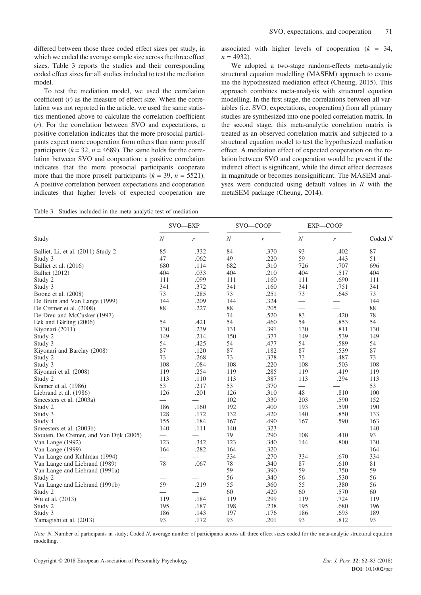differed between those three coded effect sizes per study, in which we coded the average sample size across the three effect sizes. Table 3 reports the studies and their corresponding coded effect sizes for all studies included to test the mediation model.

To test the mediation model, we used the correlation coefficient  $(r)$  as the measure of effect size. When the correlation was not reported in the article, we used the same statistics mentioned above to calculate the correlation coefficient (r). For the correlation between SVO and expectations, a positive correlation indicates that the more prosocial participants expect more cooperation from others than more proself participants ( $k = 32$ ,  $n = 4689$ ). The same holds for the correlation between SVO and cooperation: a positive correlation indicates that the more prosocial participants cooperate more than the more proself participants ( $k = 39$ ,  $n = 5521$ ). A positive correlation between expectations and cooperation indicates that higher levels of expected cooperation are

Table 3. Studies included in the meta-analytic test of mediation

associated with higher levels of cooperation  $(k = 34,$  $n = 4932$ ).

We adopted a two-stage random-effects meta-analytic structural equation modelling (MASEM) approach to examine the hypothesized mediation effect (Cheung, 2015). This approach combines meta-analysis with structural equation modelling. In the first stage, the correlations between all variables (i.e. SVO, expectations, cooperation) from all primary studies are synthesized into one pooled correlation matrix. In the second stage, this meta-analytic correlation matrix is treated as an observed correlation matrix and subjected to a structural equation model to test the hypothesized mediation effect. A mediation effect of expected cooperation on the relation between SVO and cooperation would be present if the indirect effect is significant, while the direct effect decreases in magnitude or becomes nonsignificant. The MASEM analyses were conducted using default values in R with the metaSEM package (Cheung, 2014).

|                                         |                          | SVO-EXP          |                  | SVO-COOP |                          | EXP-COOP       |         |
|-----------------------------------------|--------------------------|------------------|------------------|----------|--------------------------|----------------|---------|
| Study                                   | $\mathcal N$             | $\boldsymbol{r}$ | $\boldsymbol{N}$ | r        | $\boldsymbol{N}$         | $\mathfrak{r}$ | Coded N |
| Balliet, Li, et al. (2011) Study 2      | 85                       | .332             | 84               | .370     | 93                       | .402           | 87      |
| Study 3                                 | 47                       | .062             | 49               | .220     | 59                       | .443           | 51      |
| Balliet et al. (2016)                   | 680                      | .114             | 682              | .310     | 726                      | .707           | 696     |
| Balliet (2012)                          | 404                      | .033             | 404              | .210     | 404                      | .517           | 404     |
| Study 2                                 | 111                      | .099             | 111              | .160     | 111                      | .690           | 111     |
| Study 3                                 | 341                      | .372             | 341              | .160     | 341                      | .751           | 341     |
| Boone et al. (2008)                     | 73                       | .285             | 73               | .251     | 73                       | .645           | 73      |
| De Bruin and Van Lange (1999)           | 144                      | .209             | 144              | .324     |                          |                | 144     |
| De Cremer et al. (2008)                 | 88                       | .227             | 88               | .205     |                          |                | 88      |
| De Dreu and McCusker (1997)             | $\overline{\phantom{0}}$ |                  | 74               | .520     | 83                       | .420           | 78      |
| Eek and Gärling (2006)                  | 54                       | .421             | 54               | .460     | 54                       | .853           | 54      |
| Kiyonari (2011)                         | 130                      | .239             | 131              | .391     | 130                      | .811           | 130     |
| Study 2                                 | 149                      | .214             | 150              | .377     | 149                      | .539           | 149     |
| Study 3                                 | 54                       | .425             | 54               | .477     | 54                       | .589           | 54      |
| Kiyonari and Barclay (2008)             | 87                       | .120             | 87               | .182     | 87                       | .539           | 87      |
| Study 2                                 | 73                       | .268             | 73               | .378     | 73                       | .487           | 73      |
| Study 3                                 | 108                      | .084             | 108              | .220     | 108                      | .503           | 108     |
| Kiyonari et al. (2008)                  | 119                      | .254             | 119              | .285     | 119                      | .419           | 119     |
| Study 2                                 | 113                      | .110             | 113              | .387     | 113                      | .294           | 113     |
| Kramer et al. (1986)                    | 53                       | .217             | 53               | .370     |                          |                | 53      |
| Liebrand et al. (1986)                  | 126                      | .201             | 126              | .310     | 48                       | .810           | 100     |
| Smeesters et al. (2003a)                | $\overline{\phantom{0}}$ |                  | 102              | .330     | 203                      | .590           | 152     |
| Study 2                                 | 186                      | .160             | 192              | .400     | 193                      | .590           | 190     |
| Study 3                                 | 128                      | .172             | 132              | .420     | 140                      | .850           | 133     |
| Study 4                                 | 155                      | .184             | 167              | .490     | 167                      | .590           | 163     |
| Smeesters et al. (2003b)                | 140                      | .111             | 140              | .323     | $\qquad \qquad$          |                | 140     |
| Stouten, De Cremer, and Van Dijk (2005) |                          |                  | 79               | .290     | 108                      | .410           | 93      |
| Van Lange (1992)                        | 123                      | .342             | 123              | .340     | 144                      | .800           | 130     |
| Van Lange (1999)                        | 164                      | .282             | 164              | .320     | $\overline{\phantom{0}}$ |                | 164     |
| Van Lange and Kuhlman (1994)            | $\overline{\phantom{0}}$ |                  | 334              | .270     | 334                      | .670           | 334     |
| Van Lange and Liebrand (1989)           | 78                       | .067             | 78               | .340     | 87                       | .610           | 81      |
| Van Lange and Liebrand (1991a)          | $\overline{\phantom{0}}$ |                  | 59               | .390     | 59                       | .750           | 59      |
| Study 2                                 | $\overline{\phantom{0}}$ |                  | 56               | .340     | 56                       | .530           | 56      |
| Van Lange and Liebrand (1991b)          | 59                       | .219             | 55               | .360     | 55                       | .380           | 56      |
| Study 2                                 |                          |                  | 60               | .420     | 60                       | .570           | 60      |
| Wu et al. (2013)                        | 119                      | .184             | 119              | .299     | 119                      | .724           | 119     |
| Study 2                                 | 195                      | .187             | 198              | .238     | 195                      | .680           | 196     |
| Study 3                                 | 186                      | .143             | 197              | .176     | 186                      | .693           | 189     |
| Yamagishi et al. (2013)                 | 93                       | .172             | 93               | .201     | 93                       | .812           | 93      |

Note. N, Number of participants in study; Coded N, average number of participants across all three effect sizes coded for the meta-analytic structural equation modelling.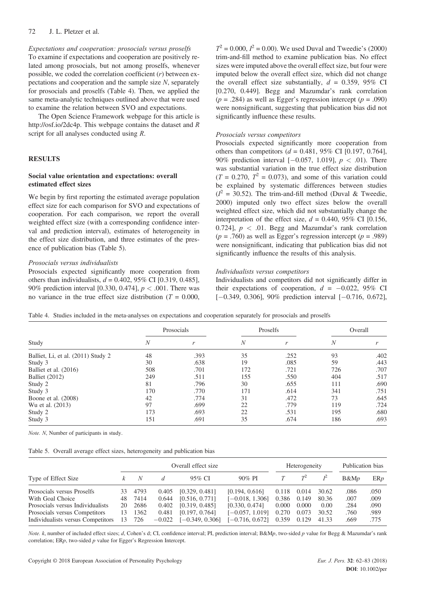### 72 J. L. Pletzer et al.

Expectations and cooperation: prosocials versus proselfs To examine if expectations and cooperation are positively related among prosocials, but not among proselfs, whenever possible, we coded the correlation coefficient  $(r)$  between expectations and cooperation and the sample size N, separately for prosocials and proselfs (Table 4). Then, we applied the same meta-analytic techniques outlined above that were used to examine the relation between SVO and expectations.

The Open Science Framework webpage for this article is <http://osf.io/2dc4p>. This webpage contains the dataset and R script for all analyses conducted using  $R$ .

## **RESULTS**

## Social value orientation and expectations: overall estimated effect sizes

We begin by first reporting the estimated average population effect size for each comparison for SVO and expectations of cooperation. For each comparison, we report the overall weighted effect size (with a corresponding confidence interval and prediction interval), estimates of heterogeneity in the effect size distribution, and three estimates of the presence of publication bias (Table 5).

### Prosocials versus individualists

Prosocials expected significantly more cooperation from others than individualists,  $d = 0.402$ , 95% CI [0.319, 0.485], 90% prediction interval [0.330, 0.474],  $p < .001$ . There was no variance in the true effect size distribution ( $T = 0.000$ ,

 $T^2 = 0.000$ ,  $T^2 = 0.00$ ). We used Duval and Tweedie's (2000) trim-and-fill method to examine publication bias. No effect sizes were imputed above the overall effect size, but four were imputed below the overall effect size, which did not change the overall effect size substantially,  $d = 0.359, 95\%$  CI [0.270, 0.449]. Begg and Mazumdar's rank correlation  $(p = .284)$  as well as Egger's regression intercept  $(p = .090)$ were nonsignificant, suggesting that publication bias did not significantly influence these results.

#### Prosocials versus competitors

Prosocials expected significantly more cooperation from others than competitors  $(d = 0.481, 95\% \text{ CI} [0.197, 0.764].$ 90% prediction interval  $[-0.057, 1.019]$ ,  $p < .01$ ). There was substantial variation in the true effect size distribution  $(T = 0.270, T^2 = 0.073)$ , and some of this variation could be explained by systematic differences between studies  $(I^2 = 30.52)$ . The trim-and-fill method (Duval & Tweedie, 2000) imputed only two effect sizes below the overall weighted effect size, which did not substantially change the interpretation of the effect size,  $d = 0.440, 95\%$  CI [0.156, 0.724],  $p < 0.01$ . Begg and Mazumdar's rank correlation  $(p = .760)$  as well as Egger's regression intercept  $(p = .989)$ were nonsignificant, indicating that publication bias did not significantly influence the results of this analysis.

#### Individualists versus competitors

Individualists and competitors did not significantly differ in their expectations of cooperation,  $d = -0.022$ , 95% CI  $[-0.349, 0.306]$ , 90% prediction interval  $[-0.716, 0.672]$ ,

| Table 4. Studies included in the meta-analyses on expectations and cooperation separately for prosocials and proselfs |  |  |  |  |  |
|-----------------------------------------------------------------------------------------------------------------------|--|--|--|--|--|
|                                                                                                                       |  |  |  |  |  |

|                                    |     | Prosocials |                  | Proselfs |     | Overall |
|------------------------------------|-----|------------|------------------|----------|-----|---------|
| Study                              | N   | r          | $\boldsymbol{N}$ |          | N   |         |
| Balliet, Li, et al. (2011) Study 2 | 48  | .393       | 35               | .252     | 93  | .402    |
| Study 3                            | 30  | .638       | 19               | .085     | 59  | .443    |
| Balliet et al. (2016)              | 508 | .701       | 172              | .721     | 726 | .707    |
| Balliet (2012)                     | 249 | .511       | 155              | .550     | 404 | .517    |
| Study 2                            | 81  | .796       | 30               | .655     | 111 | .690    |
| Study 3                            | 170 | .770       | 171              | .614     | 341 | .751    |
| Boone et al. $(2008)$              | 42  | .774       | 31               | .472     | 73  | .645    |
| Wu et al. (2013)                   | 97  | .699       | 22               | .779     | 119 | .724    |
| Study 2                            | 173 | .693       | 22               | .531     | 195 | .680    |
| Study 3                            | 151 | .691       | 35               | .674     | 186 | .693    |

Note. N, Number of participants in study.

|  |  |  |  |  | Table 5. Overall average effect sizes, heterogeneity and publication bias |  |  |  |
|--|--|--|--|--|---------------------------------------------------------------------------|--|--|--|
|--|--|--|--|--|---------------------------------------------------------------------------|--|--|--|

|                                   |    |      |          | Overall effect size |                   |       | Heterogeneity |       | Publication bias |      |
|-----------------------------------|----|------|----------|---------------------|-------------------|-------|---------------|-------|------------------|------|
| Type of Effect Size               |    | N    |          | 95% CI              | $90\%$ PI         |       |               |       | $B\&Mp$          | ERp  |
| Prosocials versus Proselfs        | 33 | 4793 | 0.405    | [0.329, 0.481]      | [0.194, 0.616]    | 0.118 | 0.014         | 30.62 | .086             | .050 |
| With Goal Choice                  | 48 | 7414 | 0.644    | [0.516, 0.771]      | $[-0.018, 1.306]$ | 0.386 | 0.149         | 80.36 | .007             | .009 |
| Prosocials versus Individualists  | 20 | 2686 | 0.402    | [0.319, 0.485]      | [0.330, 0.474]    | 0.000 | 0.000         | 0.00  | .284             | .090 |
| Prosocials versus Competitors     | 13 | 1362 | 0.481    | [0.197, 0.764]      | $[-0.057, 1.019]$ | 0.270 | 0.073         | 30.52 | .760             | .989 |
| Individualists versus Competitors | 13 | 726  | $-0.022$ | $[-0.349, 0.306]$   | $[-0.716, 0.672]$ | 0.359 | 0.129         | 41.33 | .669             | .775 |

Note. k, number of included effect sizes; d, Cohen's d; CI, confidence interval; PI, prediction interval; B&Mp, two-sided p value for Begg & Mazumdar's rank correlation; ER $p$ , two-sided  $p$  value for Egger's Regression Intercept.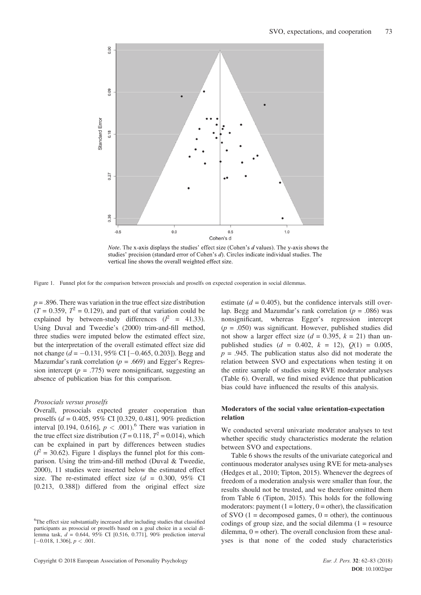

*Note.* The x-axis displays the studies' effect size (Cohen's  $d$  values). The y-axis shows the studies' precision (standard error of Cohen's d). Circles indicate individual studies. The vertical line shows the overall weighted effect size.

Figure 1. Funnel plot for the comparison between prosocials and proselfs on expected cooperation in social dilemmas.

 $p = .896$ . There was variation in the true effect size distribution  $(T = 0.359, T^2 = 0.129)$ , and part of that variation could be explained by between-study differences  $(l^2 = 41.33)$ . Using Duval and Tweedie's (2000) trim-and-fill method, three studies were imputed below the estimated effect size, but the interpretation of the overall estimated effect size did not change ( $d = -0.131$ , 95% CI [-0.465, 0.203]). Begg and Mazumdar's rank correlation ( $p = .669$ ) and Egger's Regression intercept ( $p = .775$ ) were nonsignificant, suggesting an absence of publication bias for this comparison.

#### Prosocials versus proselfs

Overall, prosocials expected greater cooperation than proselfs (d = 0.405, 95% CI [0.329, 0.481], 90% prediction interval [0.194, 0.616],  $p < .001$ .<sup>6</sup> There was variation in the true effect size distribution ( $T = 0.118$ ,  $T^2 = 0.014$ ), which can be explained in part by differences between studies  $(I^2 = 30.62)$ . Figure 1 displays the funnel plot for this comparison. Using the trim-and-fill method (Duval & Tweedie, 2000), 11 studies were inserted below the estimated effect size. The re-estimated effect size  $(d = 0.300, 95\%$  CI [0.213, 0.388]) differed from the original effect size

Copyright © 2018 European Association of Personality Psychology Eur. J. Pers. 32: 62-83 (2018)

estimate  $(d = 0.405)$ , but the confidence intervals still overlap. Begg and Mazumdar's rank correlation ( $p = .086$ ) was nonsignificant, whereas Egger's regression intercept  $(p = .050)$  was significant. However, published studies did not show a larger effect size ( $d = 0.395$ ,  $k = 21$ ) than unpublished studies ( $d = 0.402$ ,  $k = 12$ ),  $O(1) = 0.005$ ,  $p = .945$ . The publication status also did not moderate the relation between SVO and expectations when testing it on the entire sample of studies using RVE moderator analyses (Table 6). Overall, we find mixed evidence that publication bias could have influenced the results of this analysis.

## Moderators of the social value orientation-expectation relation

We conducted several univariate moderator analyses to test whether specific study characteristics moderate the relation between SVO and expectations.

Table 6 shows the results of the univariate categorical and continuous moderator analyses using RVE for meta-analyses (Hedges et al., 2010; Tipton, 2015). Whenever the degrees of freedom of a moderation analysis were smaller than four, the results should not be trusted, and we therefore omitted them from Table 6 (Tipton, 2015). This holds for the following moderators: payment  $(1 =$  lottery,  $0 =$  other), the classification of SVO  $(1 =$  decomposed games,  $0 =$  other), the continuous codings of group size, and the social dilemma  $(1 =$  resource dilemma,  $0 =$  other). The overall conclusion from these analyses is that none of the coded study characteristics

<sup>&</sup>lt;sup>6</sup>The effect size substantially increased after including studies that classified participants as prosocial or proselfs based on a goal choice in a social dilemma task,  $d = 0.644, 95\%$  CI [0.516, 0.771], 90% prediction interval  $[-0.018, 1.306], p < .001$ .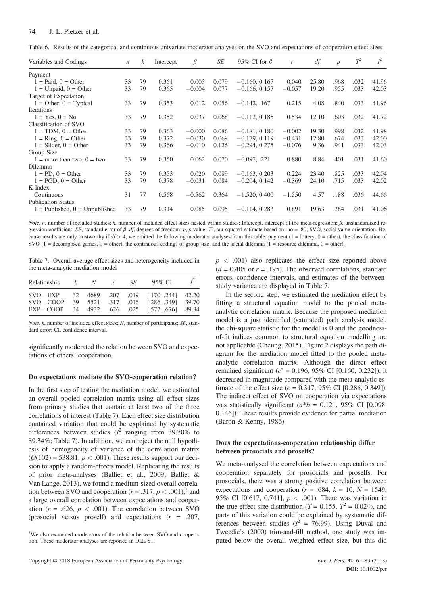#### 74 J. L. Pletzer et al.

Table 6. Results of the categorical and continuous univariate moderator analyses on the SVO and expectations of cooperation effect sizes

| Variables and Codings              | $\boldsymbol{n}$ | k  | Intercept | $\beta$  | SE    | 95% CI for $\beta$ |          | df    | $\boldsymbol{p}$ | $T^2$ | $I^2$ |
|------------------------------------|------------------|----|-----------|----------|-------|--------------------|----------|-------|------------------|-------|-------|
| Payment                            |                  |    |           |          |       |                    |          |       |                  |       |       |
| $=$ Paid, $0 =$ Other              | 33               | 79 | 0.361     | 0.003    | 0.079 | $-0.160, 0.167$    | 0.040    | 25.80 | .968             | .032  | 41.96 |
| $1 =$ Unpaid, $0 =$ Other          | 33               | 79 | 0.365     | $-0.004$ | 0.077 | $-0.166, 0.157$    | $-0.057$ | 19.20 | .955             | .033  | 42.03 |
| Target of Expectation              |                  |    |           |          |       |                    |          |       |                  |       |       |
| $1 =$ Other, $0 =$ Typical         | 33               | 79 | 0.353     | 0.012    | 0.056 | $-0.142, .167$     | 0.215    | 4.08  | .840             | .033  | 41.96 |
| <b>Iterations</b>                  |                  |    |           |          |       |                    |          |       |                  |       |       |
| $1 = Yes, 0 = No$                  | 33               | 79 | 0.352     | 0.037    | 0.068 | $-0.112, 0.185$    | 0.534    | 12.10 | .603             | .032  | 41.72 |
| Classification of SVO              |                  |    |           |          |       |                    |          |       |                  |       |       |
| $1 = TDM$ , $0 = Other$            | 33               | 79 | 0.363     | $-0.000$ | 0.086 | $-0.181, 0.180$    | $-0.002$ | 19.30 | .998             | .032  | 41.98 |
| $1 =$ Ring, $0 =$ Other            | 33               | 79 | 0.372     | $-0.030$ | 0.069 | $-0.179, 0.119$    | $-0.431$ | 12.80 | .674             | .033  | 42.00 |
| $1 =$ Slider, $0 =$ Other          | 33               | 79 | 0.366     | $-0.010$ | 0.126 | $-0.294, 0.275$    | $-0.076$ | 9.36  | .941             | .033  | 42.03 |
| Group Size                         |                  |    |           |          |       |                    |          |       |                  |       |       |
| $1 =$ more than two, $0 =$ two     | 33               | 79 | 0.350     | 0.062    | 0.070 | $-0.097, .221$     | 0.880    | 8.84  | .401             | .031  | 41.60 |
| Dilemma                            |                  |    |           |          |       |                    |          |       |                  |       |       |
| $1 = PD$ , $0 = Other$             | 33               | 79 | 0.353     | 0.020    | 0.089 | $-0.163, 0.203$    | 0.224    | 23.40 | .825             | .033  | 42.04 |
| $1 = PGD$ , $0 = Other$            | 33               | 79 | 0.378     | $-0.031$ | 0.084 | $-0.204, 0.142$    | $-0.369$ | 24.10 | .715             | .033  | 42.02 |
| K Index                            |                  |    |           |          |       |                    |          |       |                  |       |       |
| Continuous                         | 31               | 77 | 0.568     | $-0.562$ | 0.364 | $-1.520, 0.400$    | $-1.550$ | 4.57  | .188             | .036  | 44.66 |
| <b>Publication Status</b>          |                  |    |           |          |       |                    |          |       |                  |       |       |
| $1 =$ Published, $0 =$ Unpublished | 33               | 79 | 0.314     | 0.085    | 0.095 | $-0.114, 0.283$    | 0.891    | 19.63 | .384             | .031  | 41.06 |

Note. n, number of included studies; k, number of included effect sizes nested within studies; Intercept, intercept of the meta-regression;  $\beta$ , unstandardized regression coefficient; SE, standard error of  $\beta$ ; df, degrees of freedom; p, p value;  $T^2$ , tau-squared estimate based on rho = .80; SVO, social value orientation. Because results are only trustworthy if  $df > 4$ , we omitted the following moderator analyses from this table: payment  $(1 = \text{lottery}, 0 = \text{other})$ , the classification of SVO (1 = decomposed games,  $0 =$  other), the continuous codings of group size, and the social dilemma (1 = resource dilemma,  $0 =$  other).

Table 7. Overall average effect sizes and heterogeneity included in the meta-analytic mediation model

| Relationship $k$ N $r$ SE                                |  |  | 95% CI                               | $I^2$ |
|----------------------------------------------------------|--|--|--------------------------------------|-------|
| SVO—EXP 32 4689 .207 .019 [.170, .244] 42.20<br>SVO-COOP |  |  | 39 5521 .317 .016 [.286, .349] 39.70 |       |
| EXP—COOP                                                 |  |  | 34 4932 .626 .025 [.577, .676] 89.34 |       |

Note. k, number of included effect sizes; N, number of participants; SE, standard error; CI, confidence interval.

significantly moderated the relation between SVO and expectations of others' cooperation.

#### Do expectations mediate the SVO-cooperation relation?

In the first step of testing the mediation model, we estimated an overall pooled correlation matrix using all effect sizes from primary studies that contain at least two of the three correlations of interest (Table 7). Each effect size distribution contained variation that could be explained by systematic differences between studies ( $I^2$  ranging from 39.70% to 89.34%; Table 7). In addition, we can reject the null hypothesis of homogeneity of variance of the correlation matrix  $(Q(102) = 538.81, p < .001)$ . These results support our decision to apply a random-effects model. Replicating the results of prior meta-analyses (Balliet et al., 2009; Balliet & Van Lange, 2013), we found a medium-sized overall correlation between SVO and cooperation ( $r = .317$ ,  $p < .001$ ),<sup>7</sup> and a large overall correlation between expectations and cooperation ( $r = .626$ ,  $p < .001$ ). The correlation between SVO (prosocial versus proself) and expectations  $(r = .207, )$ 

<sup>7</sup>We also examined moderators of the relation between SVO and cooperation. These moderator analyses are reported in [Data S1.](http://osf.io/2dc4p)

 $p < .001$ ) also replicates the effect size reported above  $(d = 0.405$  or  $r = .195)$ . The observed correlations, standard errors, confidence intervals, and estimates of the betweenstudy variance are displayed in Table 7.

In the second step, we estimated the mediation effect by fitting a structural equation model to the pooled metaanalytic correlation matrix. Because the proposed mediation model is a just identified (saturated) path analysis model, the chi-square statistic for the model is 0 and the goodnessof-fit indices common to structural equation modelling are not applicable (Cheung, 2015). Figure 2 displays the path diagram for the mediation model fitted to the pooled metaanalytic correlation matrix. Although the direct effect remained significant ( $c' = 0.196, 95\%$  CI [0.160, 0.232]), it decreased in magnitude compared with the meta-analytic estimate of the effect size  $(c = 0.317, 95\% \text{ CI} [0.286, 0.349]).$ The indirect effect of SVO on cooperation via expectations was statistically significant ( $a^*b = 0.121$ , 95% CI [0.098, 0.146]). These results provide evidence for partial mediation (Baron & Kenny, 1986).

## Does the expectations-cooperation relationship differ between prosocials and proselfs?

We meta-analysed the correlation between expectations and cooperation separately for prosocials and proselfs. For prosocials, there was a strong positive correlation between expectations and cooperation ( $r = .684$ ,  $k = 10$ ,  $N = 1549$ , 95% CI [0.617, 0.741],  $p < .001$ ). There was variation in the true effect size distribution ( $T = 0.155$ ,  $T^2 = 0.024$ ), and parts of this variation could be explained by systematic differences between studies ( $l^2 = 76.99$ ). Using Duval and Tweedie's (2000) trim-and-fill method, one study was imputed below the overall weighted effect size, but this did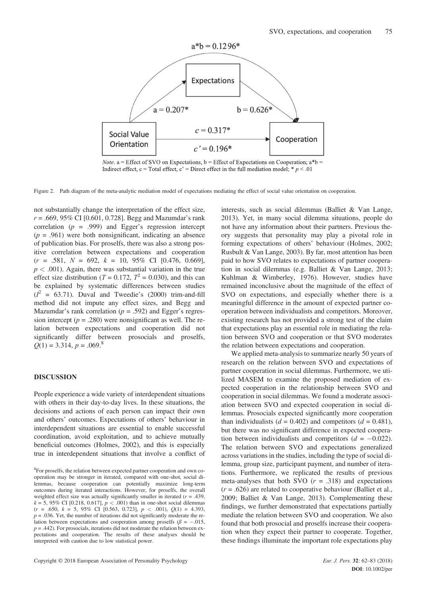

*Note.* a = Effect of SVO on Expectations,  $b$  = Effect of Expectations on Cooperation;  $a*b$  = Indirect effect, c = Total effect, c' = Direct effect in the full mediation model;  $* p < .01$ 

Figure 2. Path diagram of the meta-analytic mediation model of expectations mediating the effect of social value orientation on cooperation.

not substantially change the interpretation of the effect size,  $r = .669, 95\% \text{ CI}$  [0.601, 0.728]. Begg and Mazumdar's rank correlation  $(p = .999)$  and Egger's regression intercept  $(p = .961)$  were both nonsignificant, indicating an absence of publication bias. For proselfs, there was also a strong positive correlation between expectations and cooperation  $(r = .581, N = 692, k = 10, 95\% \text{ CI} [0.476, 0.669],$  $p < .001$ ). Again, there was substantial variation in the true effect size distribution ( $T = 0.172$ ,  $T^2 = 0.030$ ), and this can be explained by systematic differences between studies  $(I<sup>2</sup> = 63.71)$ . Duval and Tweedie's (2000) trim-and-fill method did not impute any effect sizes, and Begg and Mazumdar's rank correlation ( $p = .592$ ) and Egger's regression intercept ( $p = .280$ ) were nonsignificant as well. The relation between expectations and cooperation did not significantly differ between prosocials and proselfs,  $Q(1) = 3.314, p = .069<sup>8</sup>$ 

## DISCUSSION

People experience a wide variety of interdependent situations with others in their day-to-day lives. In these situations, the decisions and actions of each person can impact their own and others' outcomes. Expectations of others' behaviour in interdependent situations are essential to enable successful coordination, avoid exploitation, and to achieve mutually beneficial outcomes (Holmes, 2002), and this is especially true in interdependent situations that involve a conflict of interests, such as social dilemmas (Balliet & Van Lange, 2013). Yet, in many social dilemma situations, people do not have any information about their partners. Previous theory suggests that personality may play a pivotal role in forming expectations of others' behaviour (Holmes, 2002; Rusbult & Van Lange, 2003). By far, most attention has been paid to how SVO relates to expectations of partner cooperation in social dilemmas (e.g. Balliet & Van Lange, 2013; Kuhlman & Wimberley, 1976). However, studies have remained inconclusive about the magnitude of the effect of SVO on expectations, and especially whether there is a meaningful difference in the amount of expected partner cooperation between individualists and competitors. Moreover, existing research has not provided a strong test of the claim that expectations play an essential role in mediating the relation between SVO and cooperation or that SVO moderates the relation between expectations and cooperation.

We applied meta-analysis to summarize nearly 50 years of research on the relation between SVO and expectations of partner cooperation in social dilemmas. Furthermore, we utilized MASEM to examine the proposed mediation of expected cooperation in the relationship between SVO and cooperation in social dilemmas. We found a moderate association between SVO and expected cooperation in social dilemmas. Prosocials expected significantly more cooperation than individualists ( $d = 0.402$ ) and competitors ( $d = 0.481$ ), but there was no significant difference in expected cooperation between individualists and competitors ( $d = -0.022$ ). The relation between SVO and expectations generalized across variations in the studies, including the type of social dilemma, group size, participant payment, and number of iterations. Furthermore, we replicated the results of previous meta-analyses that both SVO  $(r = .318)$  and expectations  $(r = .626)$  are related to cooperative behaviour (Balliet et al., 2009; Balliet & Van Lange, 2013). Complementing these findings, we further demonstrated that expectations partially mediate the relation between SVO and cooperation. We also found that both prosocial and proselfs increase their cooperation when they expect their partner to cooperate. Together, these findings illuminate the important role expectations play

<sup>&</sup>lt;sup>8</sup>For proselfs, the relation between expected partner cooperation and own cooperation may be stronger in iterated, compared with one-shot, social dilemmas, because cooperation can potentially maximize long-term outcomes during iterated interactions. However, for proselfs, the overall weighted effect size was actually significantly smaller in iterated  $(r = .439, )$  $k = 5,95\%$  CI [0.218, 0.617],  $p < .001$ ) than in one-shot social dilemmas  $(r = .650, k = 5, 95\% \text{ CI} [0.563, 0.723], p < .001, Q(1) = 4.393,$  $p = .036$ . Yet, the number of iterations did not significantly moderate the relation between expectations and cooperation among proselfs ( $\beta = -.015$ ,  $p = .442$ ). For prosocials, iterations did not moderate the relation between expectations and cooperation. The results of these analyses should be interpreted with caution due to low statistical power.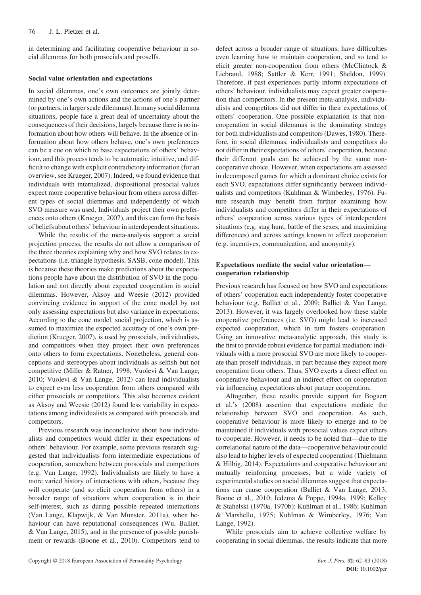in determining and facilitating cooperative behaviour in social dilemmas for both prosocials and proselfs.

## Social value orientation and expectations

In social dilemmas, one's own outcomes are jointly determined by one's own actions and the actions of one's partner (or partners, in larger scale dilemmas). In many social dilemma situations, people face a great deal of uncertainty about the consequences of their decisions, largely because there is no information about how others will behave. In the absence of information about how others behave, one's own preferences can be a cue on which to base expectations of others' behaviour, and this process tends to be automatic, intuitive, and difficult to change with explicit contradictory information (for an overview, see Krueger, 2007). Indeed, we found evidence that individuals with internalized, dispositional prosocial values expect more cooperative behaviour from others across different types of social dilemmas and independently of which SVO measure was used. Individuals project their own preferences onto others (Krueger, 2007), and this can form the basis of beliefs about others' behaviour in interdependent situations.

While the results of the meta-analysis support a social projection process, the results do not allow a comparison of the three theories explaining why and how SVO relates to expectations (i.e. triangle hypothesis, SASB, cone model). This is because these theories make predictions about the expectations people have about the distribution of SVO in the population and not directly about expected cooperation in social dilemmas. However, Aksoy and Weesie (2012) provided convincing evidence in support of the cone model by not only assessing expectations but also variance in expectations. According to the cone model, social projection, which is assumed to maximize the expected accuracy of one's own prediction (Krueger, 2007), is used by prosocials, individualists, and competitors when they project their own preferences onto others to form expectations. Nonetheless, general conceptions and stereotypes about individuals as selfish but not competitive (Miller & Ratner, 1998; Vuolevi & Van Lange, 2010; Vuolevi & Van Lange, 2012) can lead individualists to expect even less cooperation from others compared with either prosocials or competitors. This also becomes evident as Aksoy and Weesie (2012) found less variability in expectations among individualists as compared with prosocials and competitors.

Previous research was inconclusive about how individualists and competitors would differ in their expectations of others' behaviour. For example, some previous research suggested that individualists form intermediate expectations of cooperation, somewhere between prosocials and competitors (e.g. Van Lange, 1992). Individualists are likely to have a more varied history of interactions with others, because they will cooperate (and so elicit cooperation from others) in a broader range of situations when cooperation is in their self-interest, such as during possible repeated interactions (Van Lange, Klapwijk, & Van Munster, 2011a), when behaviour can have reputational consequences (Wu, Balliet, & Van Lange, 2015), and in the presence of possible punishment or rewards (Boone et al., 2010). Competitors tend to

defect across a broader range of situations, have difficulties even learning how to maintain cooperation, and so tend to elicit greater non-cooperation from others (McClintock & Liebrand, 1988; Sattler & Kerr, 1991; Sheldon, 1999). Therefore, if past experiences partly inform expectations of others' behaviour, individualists may expect greater cooperation than competitors. In the present meta-analysis, individualists and competitors did not differ in their expectations of others' cooperation. One possible explanation is that noncooperation in social dilemmas is the dominating strategy for both individualists and competitors (Dawes, 1980). Therefore, in social dilemmas, individualists and competitors do not differ in their expectations of others' cooperation, because their different goals can be achieved by the same noncooperative choice. However, when expectations are assessed in decomposed games for which a dominant choice exists for each SVO, expectations differ significantly between individualists and competitors (Kuhlman & Wimberley, 1976). Future research may benefit from further examining how individualists and competitors differ in their expectations of others' cooperation across various types of interdependent situations (e.g. stag hunt, battle of the sexes, and maximizing differences) and across settings known to affect cooperation (e.g. incentives, communication, and anonymity).

# Expectations mediate the social value orientation cooperation relationship

Previous research has focused on how SVO and expectations of others' cooperation each independently foster cooperative behaviour (e.g. Balliet et al., 2009; Balliet & Van Lange, 2013). However, it was largely overlooked how these stable cooperative preferences (i.e. SVO) might lead to increased expected cooperation, which in turn fosters cooperation. Using an innovative meta-analytic approach, this study is the first to provide robust evidence for partial mediation: individuals with a more prosocial SVO are more likely to cooperate than proself individuals, in part because they expect more cooperation from others. Thus, SVO exerts a direct effect on cooperative behaviour and an indirect effect on cooperation via influencing expectations about partner cooperation.

Altogether, these results provide support for Bogaert et al.'s (2008) assertion that expectations mediate the relationship between SVO and cooperation. As such, cooperative behaviour is more likely to emerge and to be maintained if individuals with prosocial values expect others to cooperate. However, it needs to be noted that—due to the correlational nature of the data—cooperative behaviour could also lead to higher levels of expected cooperation (Thielmann & Hilbig, 2014). Expectations and cooperative behaviour are mutually reinforcing processes, but a wide variety of experimental studies on social dilemmas suggest that expectations can cause cooperation (Balliet & Van Lange, 2013; Boone et al., 2010; Iedema & Poppe, 1994a, 1999; Kelley & Stahelski (1970a, 1970b); Kuhlman et al., 1986; Kuhlman & Marshello, 1975; Kuhlman & Wimberley, 1976; Van Lange, 1992).

While prosocials aim to achieve collective welfare by cooperating in social dilemmas, the results indicate that more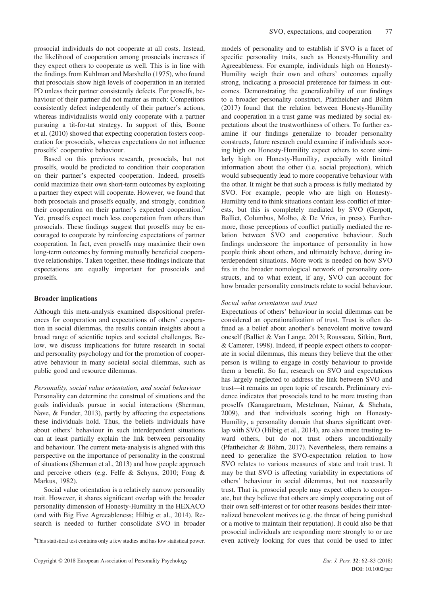prosocial individuals do not cooperate at all costs. Instead, the likelihood of cooperation among prosocials increases if they expect others to cooperate as well. This is in line with the findings from Kuhlman and Marshello (1975), who found that prosocials show high levels of cooperation in an iterated PD unless their partner consistently defects. For proselfs, behaviour of their partner did not matter as much: Competitors consistently defect independently of their partner's actions, whereas individualists would only cooperate with a partner pursuing a tit-for-tat strategy. In support of this, Boone et al. (2010) showed that expecting cooperation fosters cooperation for prosocials, whereas expectations do not influence proselfs' cooperative behaviour.

Based on this previous research, prosocials, but not proselfs, would be predicted to condition their cooperation on their partner's expected cooperation. Indeed, proselfs could maximize their own short-term outcomes by exploiting a partner they expect will cooperate. However, we found that both prosocials and proselfs equally, and strongly, condition their cooperation on their partner's expected cooperation.<sup>9</sup> Yet, proselfs expect much less cooperation from others than prosocials. These findings suggest that proselfs may be encouraged to cooperate by reinforcing expectations of partner cooperation. In fact, even proselfs may maximize their own long-term outcomes by forming mutually beneficial cooperative relationships. Taken together, these findings indicate that expectations are equally important for prosocials and proselfs.

### Broader implications

Although this meta-analysis examined dispositional preferences for cooperation and expectations of others' cooperation in social dilemmas, the results contain insights about a broad range of scientific topics and societal challenges. Below, we discuss implications for future research in social and personality psychology and for the promotion of cooperative behaviour in many societal social dilemmas, such as public good and resource dilemmas.

### Personality, social value orientation, and social behaviour

Personality can determine the construal of situations and the goals individuals pursue in social interactions (Sherman, Nave, & Funder, 2013), partly by affecting the expectations these individuals hold. Thus, the beliefs individuals have about others' behaviour in such interdependent situations can at least partially explain the link between personality and behaviour. The current meta-analysis is aligned with this perspective on the importance of personality in the construal of situations (Sherman et al., 2013) and how people approach and perceive others (e.g. Felfe & Schyns, 2010; Fong & Markus, 1982).

Social value orientation is a relatively narrow personality trait. However, it shares significant overlap with the broader personality dimension of Honesty-Humility in the HEXACO (and with Big Five Agreeableness; Hilbig et al., 2014). Research is needed to further consolidate SVO in broader

models of personality and to establish if SVO is a facet of specific personality traits, such as Honesty-Humility and Agreeableness. For example, individuals high on Honesty-Humility weigh their own and others' outcomes equally strong, indicating a prosocial preference for fairness in outcomes. Demonstrating the generalizability of our findings to a broader personality construct, Pfattheicher and Böhm (2017) found that the relation between Honesty-Humility and cooperation in a trust game was mediated by social expectations about the trustworthiness of others. To further examine if our findings generalize to broader personality constructs, future research could examine if individuals scoring high on Honesty-Humility expect others to score similarly high on Honesty-Humility, especially with limited information about the other (i.e. social projection), which would subsequently lead to more cooperative behaviour with the other. It might be that such a process is fully mediated by SVO. For example, people who are high on Honesty-Humility tend to think situations contain less conflict of interests, but this is completely mediated by SVO (Gerpott, Balliet, Columbus, Molho, & De Vries, in press). Furthermore, those perceptions of conflict partially mediated the relation between SVO and cooperative behaviour. Such findings underscore the importance of personality in how people think about others, and ultimately behave, during interdependent situations. More work is needed on how SVO fits in the broader nomological network of personality constructs, and to what extent, if any, SVO can account for how broader personality constructs relate to social behaviour.

# Social value orientation and trust

Expectations of others' behaviour in social dilemmas can be considered an operationalization of trust. Trust is often defined as a belief about another's benevolent motive toward oneself (Balliet & Van Lange, 2013; Rousseau, Sitkin, Burt, & Camerer, 1998). Indeed, if people expect others to cooperate in social dilemmas, this means they believe that the other person is willing to engage in costly behaviour to provide them a benefit. So far, research on SVO and expectations has largely neglected to address the link between SVO and trust—it remains an open topic of research. Preliminary evidence indicates that prosocials tend to be more trusting than proselfs (Kanagaretnam, Mestelman, Nainar, & Shehata, 2009), and that individuals scoring high on Honesty-Humility, a personality domain that shares significant overlap with SVO (Hilbig et al., 2014), are also more trusting toward others, but do not trust others unconditionally (Pfattheicher & Böhm, 2017). Nevertheless, there remains a need to generalize the SVO-expectation relation to how SVO relates to various measures of state and trait trust. It may be that SVO is affecting variability in expectations of others' behaviour in social dilemmas, but not necessarily trust. That is, prosocial people may expect others to cooperate, but they believe that others are simply cooperating out of their own self-interest or for other reasons besides their internalized benevolent motives (e.g. the threat of being punished or a motive to maintain their reputation). It could also be that prosocial individuals are responding more strongly to or are <sup>9</sup>This statistical test contains only a few studies and has low statistical power. even actively looking for cues that could be used to infer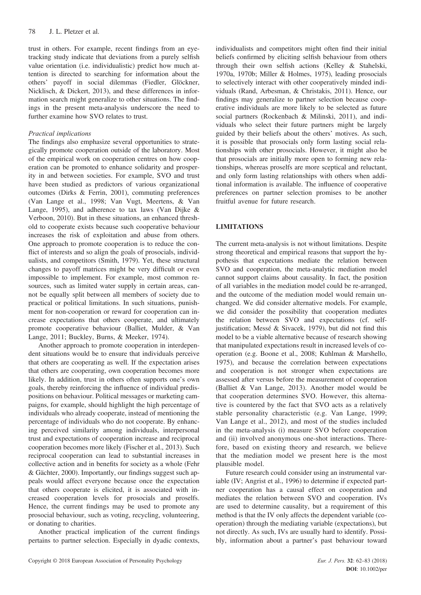trust in others. For example, recent findings from an eyetracking study indicate that deviations from a purely selfish value orientation (i.e. individualistic) predict how much attention is directed to searching for information about the others' payoff in social dilemmas (Fiedler, Glöckner, Nicklisch, & Dickert, 2013), and these differences in information search might generalize to other situations. The findings in the present meta-analysis underscore the need to further examine how SVO relates to trust.

# Practical implications

The findings also emphasize several opportunities to strategically promote cooperation outside of the laboratory. Most of the empirical work on cooperation centres on how cooperation can be promoted to enhance solidarity and prosperity in and between societies. For example, SVO and trust have been studied as predictors of various organizational outcomes (Dirks & Ferrin, 2001), commuting preferences (Van Lange et al., 1998; Van Vugt, Meertens, & Van Lange, 1995), and adherence to tax laws (Van Dijke & Verboon, 2010). But in these situations, an enhanced threshold to cooperate exists because such cooperative behaviour increases the risk of exploitation and abuse from others. One approach to promote cooperation is to reduce the conflict of interests and so align the goals of prosocials, individualists, and competitors (Smith, 1979). Yet, these structural changes to payoff matrices might be very difficult or even impossible to implement. For example, most common resources, such as limited water supply in certain areas, cannot be equally split between all members of society due to practical or political limitations. In such situations, punishment for non-cooperation or reward for cooperation can increase expectations that others cooperate, and ultimately promote cooperative behaviour (Balliet, Mulder, & Van Lange, 2011; Buckley, Burns, & Meeker, 1974).

Another approach to promote cooperation in interdependent situations would be to ensure that individuals perceive that others are cooperating as well. If the expectation arises that others are cooperating, own cooperation becomes more likely. In addition, trust in others often supports one's own goals, thereby reinforcing the influence of individual predispositions on behaviour. Political messages or marketing campaigns, for example, should highlight the high percentage of individuals who already cooperate, instead of mentioning the percentage of individuals who do not cooperate. By enhancing perceived similarity among individuals, interpersonal trust and expectations of cooperation increase and reciprocal cooperation becomes more likely (Fischer et al., 2013). Such reciprocal cooperation can lead to substantial increases in collective action and in benefits for society as a whole (Fehr & Gächter, 2000). Importantly, our findings suggest such appeals would affect everyone because once the expectation that others cooperate is elicited, it is associated with increased cooperation levels for prosocials and proselfs. Hence, the current findings may be used to promote any prosocial behaviour, such as voting, recycling, volunteering, or donating to charities.

Another practical implication of the current findings pertains to partner selection. Especially in dyadic contexts, individualists and competitors might often find their initial beliefs confirmed by eliciting selfish behaviour from others through their own selfish actions (Kelley & Stahelski, 1970a, 1970b; Miller & Holmes, 1975), leading prosocials to selectively interact with other cooperatively minded individuals (Rand, Arbesman, & Christakis, 2011). Hence, our findings may generalize to partner selection because cooperative individuals are more likely to be selected as future social partners (Rockenbach & Milinski, 2011), and individuals who select their future partners might be largely guided by their beliefs about the others' motives. As such, it is possible that prosocials only form lasting social relationships with other prosocials. However, it might also be that prosocials are initially more open to forming new relationships, whereas proselfs are more sceptical and reluctant, and only form lasting relationships with others when additional information is available. The influence of cooperative preferences on partner selection promises to be another fruitful avenue for future research.

# LIMITATIONS

The current meta-analysis is not without limitations. Despite strong theoretical and empirical reasons that support the hypothesis that expectations mediate the relation between SVO and cooperation, the meta-analytic mediation model cannot support claims about causality. In fact, the position of all variables in the mediation model could be re-arranged, and the outcome of the mediation model would remain unchanged. We did consider alternative models. For example, we did consider the possibility that cooperation mediates the relation between SVO and expectations (cf. selfjustification; Messé & Sivacek, 1979), but did not find this model to be a viable alternative because of research showing that manipulated expectations result in increased levels of cooperation (e.g. Boone et al., 2008; Kuhlman & Marshello, 1975), and because the correlation between expectations and cooperation is not stronger when expectations are assessed after versus before the measurement of cooperation (Balliet & Van Lange, 2013). Another model would be that cooperation determines SVO. However, this alternative is countered by the fact that SVO acts as a relatively stable personality characteristic (e.g. Van Lange, 1999; Van Lange et al., 2012), and most of the studies included in the meta-analysis (i) measure SVO before cooperation and (ii) involved anonymous one-shot interactions. Therefore, based on existing theory and research, we believe that the mediation model we present here is the most plausible model.

Future research could consider using an instrumental variable (IV; Angrist et al., 1996) to determine if expected partner cooperation has a causal effect on cooperation and mediates the relation between SVO and cooperation. IVs are used to determine causality, but a requirement of this method is that the IV only affects the dependent variable (cooperation) through the mediating variable (expectations), but not directly. As such, IVs are usually hard to identify. Possibly, information about a partner's past behaviour toward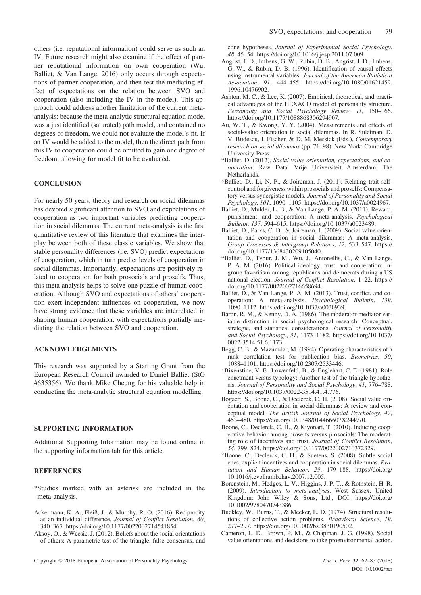others (i.e. reputational information) could serve as such an IV. Future research might also examine if the effect of partner reputational information on own cooperation (Wu, Balliet, & Van Lange, 2016) only occurs through expectations of partner cooperation, and then test the mediating effect of expectations on the relation between SVO and cooperation (also including the IV in the model). This approach could address another limitation of the current metaanalysis: because the meta-analytic structural equation model was a just identified (saturated) path model, and contained no degrees of freedom, we could not evaluate the model's fit. If an IV would be added to the model, then the direct path from this IV to cooperation could be omitted to gain one degree of freedom, allowing for model fit to be evaluated.

#### **CONCLUSION**

For nearly 50 years, theory and research on social dilemmas has devoted significant attention to SVO and expectations of cooperation as two important variables predicting cooperation in social dilemmas. The current meta-analysis is the first quantitative review of this literature that examines the interplay between both of these classic variables. We show that stable personality differences (i.e. SVO) predict expectations of cooperation, which in turn predict levels of cooperation in social dilemmas. Importantly, expectations are positively related to cooperation for both prosocials and proselfs. Thus, this meta-analysis helps to solve one puzzle of human cooperation. Although SVO and expectations of others' cooperation exert independent influences on cooperation, we now have strong evidence that these variables are interrelated in shaping human cooperation, with expectations partially mediating the relation between SVO and cooperation.

#### ACKNOWLEDGEMENTS

This research was supported by a Starting Grant from the European Research Council awarded to Daniel Balliet (StG #635356). We thank Mike Cheung for his valuable help in conducting the meta-analytic structural equation modelling.

## SUPPORTING INFORMATION

Additional Supporting Information may be found online in the supporting information tab for this article.

### **REFERENCES**

- \*Studies marked with an asterisk are included in the meta-analysis.
- Ackermann, K. A., Fleiß, J., & Murphy, R. O. (2016). Reciprocity as an individual difference. Journal of Conflict Resolution, 60, 340–367. [https://doi.org/10.1177/0022002714541854.](https://doi.org/10.1177/0022002714541854)
- Aksoy, O., & Weesie, J. (2012). Beliefs about the social orientations of others: A parametric test of the triangle, false consensus, and

cone hypotheses. Journal of Experimental Social Psychology, 48, 45–54. [https://doi.org/10.1016/j.jesp.2011.07.009.](https://doi.org/10.1016/j.jesp.2011.07.009)

- Angrist, J. D., Imbens, G. W., Rubin, D. B., Angrist, J. D., Imbens, G. W., & Rubin, D. B. (1996). Identification of causal effects using instrumental variables. Journal of the American Statistical Association, 91, 444–455. [https://doi.org/10.1080/01621459.](https://doi.org/10.1080/01621459.1996.10476902) [1996.10476902](https://doi.org/10.1080/01621459.1996.10476902).
- Ashton, M. C., & Lee, K. (2007). Empirical, theoretical, and practical advantages of the HEXACO model of personality structure. Personality and Social Psychology Review, 11, 150–166. <https://doi.org/10.1177/1088868306294907>.
- Au, W. T., & Kwong, Y. Y. (2004). Measurements and effects of social-value orientation in social dilemmas. In R. Suleiman, D. V. Budescu, I. Fischer, & D. M. Messick (Eds.), Contemporary research on social dilemmas (pp. 71–98). New York: Cambridge University Press.
- \*Balliet, D. (2012). Social value orientation, expectations, and cooperation. Raw Data: Vrije Universiteit Amsterdam, The Netherlands.
- \*Balliet, D., Li, N. P., & Joireman, J. (2011). Relating trait selfcontrol and forgiveness within prosocials and proselfs: Compensatory versus synergistic models. Journal of Personality and Social Psychology, 101, 1090–1105.<https://doi.org/10.1037/a0024967>.
- Balliet, D., Mulder, L. B., & Van Lange, P. A. M. (2011). Reward, punishment, and cooperation: A meta-analysis. Psychological Bulletin, 137, 594–615. [https://doi.org/10.1037/a0023489.](https://doi.org/10.1037/a0023489)
- Balliet, D., Parks, C. D., & Joireman, J. (2009). Social value orientation and cooperation in social dilemmas: A meta-analysis. Group Processes & Intergroup Relations, 12, 533–547. [https://](https://doi.org/10.1177/1368430209105040) [doi.org/10.1177/1368430209105040.](https://doi.org/10.1177/1368430209105040)
- \*Balliet, D., Tybur, J. M., Wu, J., Antonellis, C., & Van Lange, P. A. M. (2016). Political ideology, trust, and cooperation: Ingroup favoritism among republicans and democrats during a US national election. Journal of Conflict Resolution, 1–22. [https://](https://doi.org/10.1177/0022002716658694) [doi.org/10.1177/0022002716658694.](https://doi.org/10.1177/0022002716658694)
- Balliet, D., & Van Lange, P. A. M. (2013). Trust, conflict, and cooperation: A meta-analysis. Psychological Bulletin, 139, 1090–1112.<https://doi.org/10.1037/a0030939>.
- Baron, R. M., & Kenny, D. A. (1986). The moderator-mediator variable distinction in social psychological research: Conceptual, strategic, and statistical considerations. Journal of Personality and Social Psychology, 51, 1173–1182. [https://doi.org/10.1037/](https://doi.org/10.1037/0022-3514.51.6.1173) [0022-3514.51.6.1173](https://doi.org/10.1037/0022-3514.51.6.1173).
- Begg, C. B., & Mazumdar, M. (1994). Operating characteristics of a rank correlation test for publication bias. Biometrics, 50, 1088–1101.<https://doi.org/10.2307/2533446>.
- \*Bixenstine, V. E., Lowenfeld, B., & Englehart, C. E. (1981). Role enactment versus typology: Another test of the triangle hypothesis. Journal of Personality and Social Psychology, 41, 776–788. [https://doi.org/10.1037/0022-3514.41.4.776.](https://doi.org/10.1037/0022-3514.41.4.776)
- Bogaert, S., Boone, C., & Declerck, C. H. (2008). Social value orientation and cooperation in social dilemmas: A review and conceptual model. The British Journal of Social Psychology, 47, 453–480. [https://doi.org/10.1348/014466607X244970.](https://doi.org/10.1348/014466607X244970)
- Boone, C., Declerck, C. H., & Kiyonari, T. (2010). Inducing cooperative behavior among proselfs versus prosocials: The moderating role of incentives and trust. Journal of Conflict Resolution, 54, 799–824. [https://doi.org/10.1177/0022002710372329.](https://doi.org/10.1177/0022002710372329)
- \*Boone, C., Declerck, C. H., & Suetens, S. (2008). Subtle social cues, explicit incentives and cooperation in social dilemmas. Evolution and Human Behavior, 29, 179–188. [https://doi.org/](https://doi.org/10.1016/j.evolhumbehav.2007.12.005) [10.1016/j.evolhumbehav.2007.12.005](https://doi.org/10.1016/j.evolhumbehav.2007.12.005).
- Borenstein, M., Hedges, L. V., Higgins, J. P. T., & Rothstein, H. R. (2009). Introduction to meta-analysis. West Sussex, United Kingdom: John Wiley & Sons, Ltd., DOI: [https://doi.org/](https://doi.org/10.1002/9780470743386) [10.1002/9780470743386](https://doi.org/10.1002/9780470743386)
- Buckley, W., Burns, T., & Meeker, L. D. (1974). Structural resolutions of collective action problems. Behavioral Science, 19, 277–297. [https://doi.org/10.1002/bs.3830190502.](https://doi.org/10.1002/bs.3830190502)
- Cameron, L. D., Brown, P. M., & Chapman, J. G. (1998). Social value orientations and decisions to take proenvironmental action.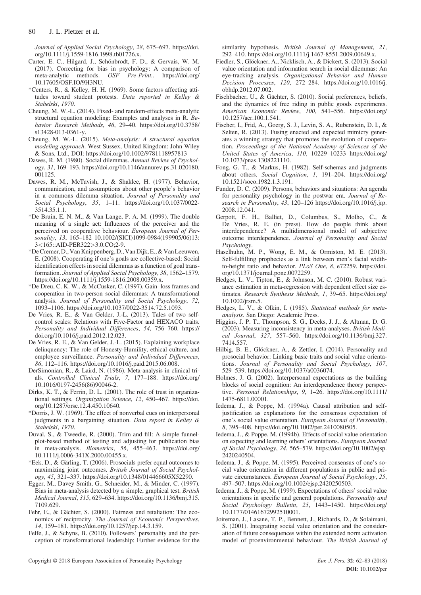Journal of Applied Social Psychology, 28, 675–697. [https://doi.](https://doi.org/10.1111/j.1559-1816.1998.tb01726.x) [org/10.1111/j.1559-1816.1998.tb01726.x](https://doi.org/10.1111/j.1559-1816.1998.tb01726.x).

- Carter, E. C., Hilgard, J., Schönbrodt, F. D., & Gervais, W. M. (2017). Correcting for bias in psychology: A comparison of meta-analytic methods. OSF Pre-Print.. [https://doi.org/](https://doi.org/10.17605/OSF.IO/9H3NU) [10.17605/OSF.IO/9H3NU](https://doi.org/10.17605/OSF.IO/9H3NU).
- \*Centers, R., & Kelley, H. H. (1969). Some factors affecting attitudes toward student protests. Data reported in Kelley & Stahelski, 1970.
- Cheung, M. W.-L. (2014). Fixed- and random-effects meta-analytic structural equation modeling: Examples and analyses in R. Behavior Research Methods, 46, 29–40. [https://doi.org/10.3758/](https://doi.org/10.3758/s13428-013-0361-y) [s13428-013-0361-y.](https://doi.org/10.3758/s13428-013-0361-y)
- Cheung, M. W.-L. (2015). Meta-analysis: A structural equation modeling approach. West Sussex, United Kingdom: John Wiley & Sons, Ltd., DOI:<https://doi.org/10.1002/9781118957813>
- Dawes, R. M. (1980). Social dilemmas. Annual Review of Psychology, 31, 169–193. [https://doi.org/10.1146/annurev.ps.31.020180.](https://doi.org/10.1146/annurev.ps.31.020180.001125) [001125](https://doi.org/10.1146/annurev.ps.31.020180.001125).
- Dawes, R. M., McTavish, J., & Shaklee, H. (1977). Behavior, communication, and assumptions about other people's behavior in a commons dilemma situation. Journal of Personality and Social Psychology, 35, 1–11. [https://doi.org/10.1037/0022-](https://doi.org/10.1037/0022-3514.35.1.1) [3514.35.1.1](https://doi.org/10.1037/0022-3514.35.1.1).
- \*De Bruin, E. N. M., & Van Lange, P. A. M. (1999). The double meaning of a single act: Influences of the perceiver and the perceived on cooperative behaviour. European Journal of Personality, 13, 165–182 10.1002/(SICI)1099-0984(199905/06)13: 3<165::AID-PER322>3.0.CO;2-9.
- \*De Cremer, D., Van Knippenberg, D., Van Dijk, E.,& Van Leeuwen, E. (2008). Cooperating if one's goals are collective-based: Social identification effects in social dilemmas as a function of goal transformation. Journal of Applied Social Psychology, 38, 1562–1579. [https://doi.org/10.1111/j.1559-1816.2008.00359.x.](https://doi.org/10.1111/j.1559-1816.2008.00359.x)
- \*De Dreu, C. K. W., & McCusker, C. (1997). Gain–loss frames and cooperation in two-person social dilemmas: A transformational analysis. Journal of Personality and Social Psychology, 72, 1093–1106.<https://doi.org/10.1037/0022-3514.72.5.1093>.
- De Vries, R. E., & Van Gelder, J.-L. (2013). Tales of two selfcontrol scales: Relations with Five-Factor and HEXACO traits. Personality and Individual Differences, 54, 756–760. [https://](https://doi.org/10.1016/j.paid.2012.12.023) [doi.org/10.1016/j.paid.2012.12.023](https://doi.org/10.1016/j.paid.2012.12.023).
- De Vries, R. E., & Van Gelder, J.-L. (2015). Explaining workplace delinquency: The role of Honesty-Humility, ethical culture, and employee surveillance. Personality and Individual Differences, 86, 112–116.<https://doi.org/10.1016/j.paid.2015.06.008>.
- DerSimonian, R., & Laird, N. (1986). Meta-analysis in clinical trials. Controlled Clinical Trials, 7, 177–188. [https://doi.org/](https://doi.org/10.1016/0197-2456(86)90046-2) [10.1016/0197-2456\(86\)90046-2](https://doi.org/10.1016/0197-2456(86)90046-2).
- Dirks, K. T., & Ferrin, D. L. (2001). The role of trust in organizational settings. Organization Science, 12, 450–467. [https://doi.](https://doi.org/10.1287/orsc.12.4.450.10640) [org/10.1287/orsc.12.4.450.10640](https://doi.org/10.1287/orsc.12.4.450.10640).
- \*Dorris, J. W. (1969). The effect of nonverbal cues on interpersonal judgments in a bargaining situation. Data report in Kelley & Stahelski, 1970.
- Duval, S., & Tweedie, R. (2000). Trim and fill: A simple funnelplot-based method of testing and adjusting for publication bias in meta-analysis. Biometrics, 56, 455–463. [https://doi.org/](https://doi.org/10.1111/j.0006-341X.2000.00455.x) [10.1111/j.0006-341X.2000.00455.x](https://doi.org/10.1111/j.0006-341X.2000.00455.x).
- \*Eek, D., & Gärling, T. (2006). Prosocials prefer equal outcomes to maximizing joint outcomes. British Journal of Social Psychology, 45, 321–337.<https://doi.org/10.1348/014466605X52290>.
- Egger, M., Davey Smith, G., Schneider, M., & Minder, C. (1997). Bias in meta-analysis detected by a simple, graphical test. British Medical Journal, 315, 629–634. [https://doi.org/10.1136/bmj.315.](https://doi.org/10.1136/bmj.315.7109.629) [7109.629](https://doi.org/10.1136/bmj.315.7109.629).
- Fehr, E., & Gächter, S. (2000). Fairness and retaliation: The economics of reciprocity. The Journal of Economic Perspectives, 14, 159–181. [https://doi.org/10.1257/jep.14.3.159.](https://doi.org/10.1257/jep.14.3.159)
- Felfe, J., & Schyns, B. (2010). Followers' personality and the perception of transformational leadership: Further evidence for the

Copyright © 2018 European Association of Personality Psychology Eur. J. Pers. 32: 62-83 (2018)

similarity hypothesis. British Journal of Management, 21, 292–410.<https://doi.org/10.1111/j.1467-8551.2009.00649.x>.

- Fiedler, S., Glöckner, A., Nicklisch, A., & Dickert, S. (2013). Social value orientation and information search in social dilemmas: An eye-tracking analysis. Organizational Behavior and Human Decision Processes, 120, 272–284. [https://doi.org/10.1016/j.](https://doi.org/10.1016/j.obhdp.2012.07.002) [obhdp.2012.07.002.](https://doi.org/10.1016/j.obhdp.2012.07.002)
- Fischbacher, U., & Gächter, S. (2010). Social preferences, beliefs, and the dynamics of free riding in public goods experiments. American Economic Review, 100, 541–556. [https://doi.org/](https://doi.org/10.1257/aer.100.1.541) [10.1257/aer.100.1.541.](https://doi.org/10.1257/aer.100.1.541)
- Fischer, I., Frid, A., Goerg, S. J., Levin, S. A., Rubenstein, D. I., & Selten, R. (2013). Fusing enacted and expected mimicry generates a winning strategy that promotes the evolution of cooperation. Proceedings of the National Academy of Sciences of the United States of America, 110, 10229–10233 [https://doi.org/](https://doi.org/10.1073/pnas.1308221110) [10.1073/pnas.1308221110.](https://doi.org/10.1073/pnas.1308221110)
- Fong, G. T., & Markus, H. (1982). Self-schemas and judgments about others. Social Cognition, 1, 191–204. [https://doi.org/](https://doi.org/10.1521/soco.1982.1.3.191) [10.1521/soco.1982.1.3.191.](https://doi.org/10.1521/soco.1982.1.3.191)
- Funder, D. C. (2009). Persons, behaviors and situations: An agenda for personality psychology in the postwar era. Journal of Research in Personality, 43, 120–126 [https://doi.org/10.1016/j.jrp.](https://doi.org/10.1016/j.jrp.2008.12.041) [2008.12.041](https://doi.org/10.1016/j.jrp.2008.12.041).
- Gerpott, F. H., Balliet, D., Columbus, S., Molho, C., & De Vries, R. E. (in press). How do people think about interdependence? A multidimensional model of subjective outcome interdependence. Journal of Personality and Social Psychology.
- Haselhuhn, M. P., Wong, E. M., & Ormiston, M. E. (2013). Self-fulfilling prophecies as a link between men's facial widthto-height ratio and behavior. PLoS One, 8, e72259. [https://doi.](https://doi.org/10.1371/journal.pone.0072259) [org/10.1371/journal.pone.0072259.](https://doi.org/10.1371/journal.pone.0072259)
- Hedges, L. V., Tipton, E., & Johnson, M. C. (2010). Robust variance estimation in meta-regression with dependent effect size estimates. Research Synthesis Methods, 1, 39–65. [https://doi.org/](https://doi.org/10.1002/jrsm.5) [10.1002/jrsm.5](https://doi.org/10.1002/jrsm.5).
- Hedges, L. V., & Olkin, I. (1985). Statistical methods for metaanalysis. San Diego: Academic Press.
- Higgins, J. P. T., Thompson, S. G., Deeks, J. J., & Altman, D. G. (2003). Measuring inconsistency in meta-analyses. British Medical Journal, 327, 557–560. [https://doi.org/10.1136/bmj.327.](https://doi.org/10.1136/bmj.327.7414.557) [7414.557.](https://doi.org/10.1136/bmj.327.7414.557)
- Hilbig, B. E., Glöckner, A., & Zettler, I. (2014). Personality and prosocial behavior: Linking basic traits and social value orientations. Journal of Personality and Social Psychology, 107, 529–539.<https://doi.org/10.1037/a0036074>.
- Holmes, J. G. (2002). Interpersonal expectations as the building blocks of social cognition: An interdependence theory perspective. Personal Relationships, 9, 1–26. [https://doi.org/10.1111/](https://doi.org/10.1111/1475-6811.00001) [1475-6811.00001.](https://doi.org/10.1111/1475-6811.00001)
- Iedema, J., & Poppe, M. (1994a). Causal attribution and selfjustification as explanations for the consensus expectation of one's social value orientation. European Journal of Personality, 8, 395–408. [https://doi.org/10.1002/per.2410080505.](https://doi.org/10.1002/per.2410080505)
- Iedema, J., & Poppe, M. (1994b). Effects of social value orientation on expecting and learning others' orientations. European Journal of Social Psychology, 24, 565–579. [https://doi.org/10.1002/ejsp.](https://doi.org/10.1002/ejsp.2420240504) [2420240504](https://doi.org/10.1002/ejsp.2420240504).
- Iedema, J., & Poppe, M. (1995). Perceived consensus of one's social value orientation in different populations in public and private circumstances. European Journal of Social Psychology, 25, 497–507. [https://doi.org/10.1002/ejsp.2420250503.](https://doi.org/10.1002/ejsp.2420250503)
- Iedema, J., & Poppe, M. (1999). Expectations of others' social value orientations in specific and general populations. Personality and Social Psychology Bulletin, 25, 1443–1450. [https://doi.org/](https://doi.org/10.1177/01461672992510001) [10.1177/01461672992510001](https://doi.org/10.1177/01461672992510001).
- Joireman, J., Lasane, T. P., Bennett, J., Richards, D., & Solaimani, S. (2001). Integrating social value orientation and the consideration of future consequences within the extended norm activation model of proenvironmental behaviour. The British Journal of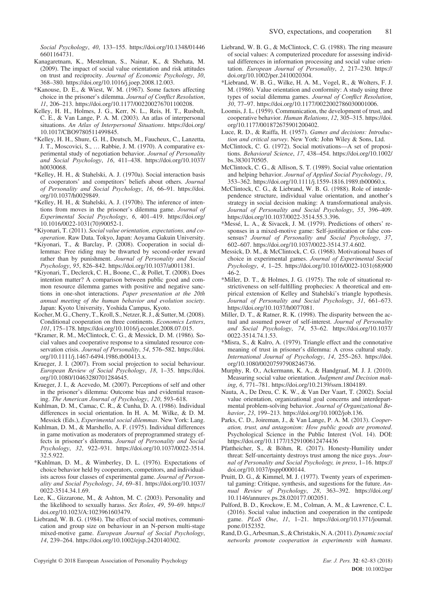Social Psychology, 40, 133–155. [https://doi.org/10.1348/01446](https://doi.org/10.1348/014466601164731) [6601164731.](https://doi.org/10.1348/014466601164731)

- Kanagaretnam, K., Mestelman, S., Nainar, K., & Shehata, M. (2009). The impact of social value orientation and risk attitudes on trust and reciprocity. Journal of Economic Psychology, 30, 368–380. [https://doi.org/10.1016/j.joep.2008.12.003.](https://doi.org/10.1016/j.joep.2008.12.003)
- \*Kanouse, D. E., & Wiest, W. M. (1967). Some factors affecting choice in the prisoner's dilemma. Journal of Conflict Resolution, 11, 206–213. [https://doi.org/10.1177/002200276701100208.](https://doi.org/10.1177/002200276701100208)
- Kelley, H. H., Holmes, J. G., Kerr, N. L., Reis, H. T., Rusbult, C. E., & Van Lange, P. A. M. (2003). An atlas of interpersonal situations. An Atlas of Interpersonal Situations. [https://doi.org/](https://doi.org/10.1017/CBO9780511499845) [10.1017/CBO9780511499845.](https://doi.org/10.1017/CBO9780511499845)
- \*Kelley, H. H., Shure, G. H., Deutsch, M., Faucheux, C., Lanzetta, J. T., Moscovici, S., … Rabbie, J. M. (1970). A comparative experimental study of negotiation behavior. Journal of Personality and Social Psychology, 16, 411–438. [https://doi.org/10.1037/](https://doi.org/10.1037/h0030068) [h0030068.](https://doi.org/10.1037/h0030068)
- \*Kelley, H. H., & Stahelski, A. J. (1970a). Social interaction basis of cooperators' and competitors' beliefs about others. Journal of Personality and Social Psychology, 16, 66–91. [https://doi.](https://doi.org/10.1037/h0029849) [org/10.1037/h0029849.](https://doi.org/10.1037/h0029849)
- \*Kelley, H. H., & Stahelski, A. J. (1970b). The inference of intentions from moves in the prisoner's dilemma game. Journal of Experimental Social Psychology, 6, 401–419. [https://doi.org/](https://doi.org/10.1016/0022-1031(70)90052-1) [10.1016/0022-1031\(70\)90052-1](https://doi.org/10.1016/0022-1031(70)90052-1).
- \*Kiyonari, T. (2011). Social value orientation, expectations, and cooperation. Raw Data. Tokyo, Japan: Aoyama Gakuin University.
- \*Kiyonari, T., & Barclay, P. (2008). Cooperation in social dilemmas: Free riding may be thwarted by second-order reward rather than by punishment. Journal of Personality and Social Psychology, 95, 826–842.<https://doi.org/10.1037/a0011381>.
- \*Kiyonari, T., Declerck, C. H., Boone, C., & Pollet, T. (2008). Does intention matter? A comparison between public good and common resource dilemma games with positive and negative sanctions in one-shot interactions. Paper presentation at the 20th annual meeting of the human behavior and evolution society. Japan: Kyoto University, Yoshida Campus, Kyoto.
- Kocher,M. G., Cherry, T., Kroll, S., Netzer, R. J., & Sutter,M. (2008). Conditional cooperation on three continents. Economics Letters, 101, 175–178. [https://doi.org/10.1016/j.econlet.2008.07.015.](https://doi.org/10.1016/j.econlet.2008.07.015)
- \*Kramer, R. M., McClintock, C. G., & Messick, D. M. (1986). Social values and cooperative response to a simulated resource conservation crisis. Journal of Personality, 54, 576–582. [https://doi.](https://doi.org/10.1111/j.1467-6494.1986.tb00413.x) [org/10.1111/j.1467-6494.1986.tb00413.x](https://doi.org/10.1111/j.1467-6494.1986.tb00413.x).
- Krueger, J. I. (2007). From social projection to social behaviour. European Review of Social Psychology, 18, 1–35. [https://doi.](https://doi.org/10.1080/10463280701284645) [org/10.1080/10463280701284645](https://doi.org/10.1080/10463280701284645).
- Krueger, J. I., & Acevedo, M. (2007). Perceptions of self and other in the prisoner's dilemma: Outcome bias and evidential reasoning. The American Journal of Psychology, 120, 593–618.
- Kuhlman, D. M., Camac, C. R., & Cunha, D. A. (1986). Individual differences in social orientation. In H. A. M. Wilke, & D. M. Messick (Eds.), Experimental social dilemmas. New York: Lang.
- Kuhlman, D. M., & Marshello, A. F. (1975). Individual differences in game motivation as moderators of preprogrammed strategy effects in prisoner's dilemma. Journal of Personality and Social Psychology, 32, 922–931. [https://doi.org/10.1037/0022-3514.](https://doi.org/10.1037/0022-3514.32.5.922) [32.5.922](https://doi.org/10.1037/0022-3514.32.5.922).
- \*Kuhlman, D. M., & Wimberley, D. L. (1976). Expectations of choice behavior held by cooperators, competitors, and individualists across four classes of experimental game. Journal of Personality and Social Psychology, 34, 69–81. [https://doi.org/10.1037/](https://doi.org/10.1037/0022-3514.34.1.69) [0022-3514.34.1.69](https://doi.org/10.1037/0022-3514.34.1.69).
- Lee, K., Gizzarone, M., & Ashton, M. C. (2003). Personality and the likelihood to sexually harass. Sex Roles, 49, 59–69. [https://](https://doi.org/10.1023/A:1023961603479) [doi.org/10.1023/A:1023961603479](https://doi.org/10.1023/A:1023961603479).
- Liebrand, W. B. G. (1984). The effect of social motives, communication and group size on behaviour in an N-person multi-stage mixed-motive game. European Journal of Social Psychology, 14, 239–264.<https://doi.org/10.1002/ejsp.2420140302>.
- Liebrand, W. B. G., & McClintock, C. G. (1988). The ring measure of social values: A computerized procedure for assessing individual differences in information processing and social value orientation. European Journal of Personality, 2, 217–230. [https://](https://doi.org/10.1002/per.2410020304) [doi.org/10.1002/per.2410020304](https://doi.org/10.1002/per.2410020304).
- \*Liebrand, W. B. G., Wilke, H. A. M., Vogel, R., & Wolters, F. J. M. (1986). Value orientation and conformity: A study using three types of social dilemma games. Journal of Conflict Resolution, 30, 77–97.<https://doi.org/10.1177/0022002786030001006>.
- Loomis, J. L. (1959). Communication, the development of trust, and cooperative behavior. Human Relations, 12, 305–315. [https://doi.](https://doi.org/10.1177/001872675901200402) [org/10.1177/001872675901200402.](https://doi.org/10.1177/001872675901200402)
- Luce, R. D., & Raiffa, H. (1957). Games and decisions: Introduction and critical survey. New York: John Wiley & Sons, Ltd.
- McClintock, C. G. (1972). Social motivations—A set of propositions. Behavioral Science, 17, 438–454. [https://doi.org/10.1002/](https://doi.org/10.1002/bs.3830170505) [bs.3830170505](https://doi.org/10.1002/bs.3830170505).
- McClintock, C. G., & Allison, S. T. (1989). Social value orientation and helping behavior. Journal of Applied Social Psychology, 19, 353–362. [https://doi.org/10.1111/j.1559-1816.1989.tb00060.x.](https://doi.org/10.1111/j.1559-1816.1989.tb00060.x)
- McClintock, C. G., & Liebrand, W. B. G. (1988). Role of interdependence structure, individual value orientation, and another's strategy in social decision making: A transformational analysis. Journal of Personality and Social Psychology, 55, 396–409. [https://doi.org/10.1037/0022-3514.55.3.396.](https://doi.org/10.1037/0022-3514.55.3.396)
- \*Messé, L. A., & Sivacek, J. M. (1979). Predictions of others' responses in a mixed-motive game: Self-justification or false consensus? Journal of Personality and Social Psychology, 37, 602–607.<https://doi.org/10.1037/0022-3514.37.4.602>.
- Messick, D. M., & McClintock, C. G. (1968). Motivational bases of choice in experimental games. Journal of Experimental Social Psychology, 4, 1–25. [https://doi.org/10.1016/0022-1031\(68\)900](https://doi.org/10.1016/0022-1031(68)90046-2) [46-2](https://doi.org/10.1016/0022-1031(68)90046-2).
- \*Miller, D. T., & Holmes, J. G. (1975). The role of situational restrictiveness on self-fulfilling prophecies: A theoretical and empirical extension of Kelley and Stahelski's triangle hypothesis. Journal of Personality and Social Psychology, 31, 661–673. <https://doi.org/10.1037/h0077081>.
- Miller, D. T., & Ratner, R. K. (1998). The disparity between the actual and assumed power of self-interest. Journal of Personality and Social Psychology, 74, 53–62. [https://doi.org/10.1037/](https://doi.org/10.1037/0022-3514.74.1.53) [0022-3514.74.1.53](https://doi.org/10.1037/0022-3514.74.1.53).
- \*Misra, S., & Kalro, A. (1979). Triangle effect and the connotative meaning of trust in prisoner's dilemma: A cross cultural study. International Journal of Psychology, 14, 255–263. [https://doi.](https://doi.org/10.1080/00207597908246736) [org/10.1080/00207597908246736](https://doi.org/10.1080/00207597908246736).
- Murphy, R. O., Ackermann, K. A., & Handgraaf, M. J. J. (2010). Measuring social value orientation. Judgment and Decision making, 6, 771–781. [https://doi.org/10.2139/ssrn.1804189.](https://doi.org/10.2139/ssrn.1804189)
- Nauta, A., De Dreu, C. K. W., & Van Der Vaart, T. (2002). Social value orientation, organizational goal concerns and interdepartmental problem-solving behavior. Journal of Organizational Behavior, 23, 199–213.<https://doi.org/10.1002/job.136>.
- Parks, C. D., Joireman, J., & Van Lange, P. A. M. (2013). Cooperation, trust, and antagonism: How public goods are promoted. Psychological Science in the Public Interest (Vol. 14). DOI: <https://doi.org/10.1177/1529100612474436>
- Pfattheicher, S., & Böhm, R. (2017). Honesty-Humility under threat: Self-uncertainty destroys trust among the nice guys. Journal of Personality and Social Psychology, in press, 1–16. [https://](https://doi.org/10.1037/pspp0000144) [doi.org/10.1037/pspp0000144](https://doi.org/10.1037/pspp0000144).
- Pruitt, D. G., & Kimmel, M. J. (1977). Twenty years of experimental gaming: Critique, synthesis, and sugestions for the future. Annual Review of Psychology, 28, 363–392. [https://doi.org/](https://doi.org/10.1146/annurev.ps.28.020177.002051) [10.1146/annurev.ps.28.020177.002051](https://doi.org/10.1146/annurev.ps.28.020177.002051).
- Pulford, B. D., Krockow, E. M., Colman, A. M., & Lawrence, C. L. (2016). Social value induction and cooperation in the centipede game. PLoS One, 11, 1–21. [https://doi.org/10.1371/journal.](https://doi.org/10.1371/journal.pone.0152352) [pone.0152352](https://doi.org/10.1371/journal.pone.0152352).
- Rand,D.G.,Arbesman,S.,&Christakis,N.A. (2011).Dynamic social networks promote cooperation in experiments with humans.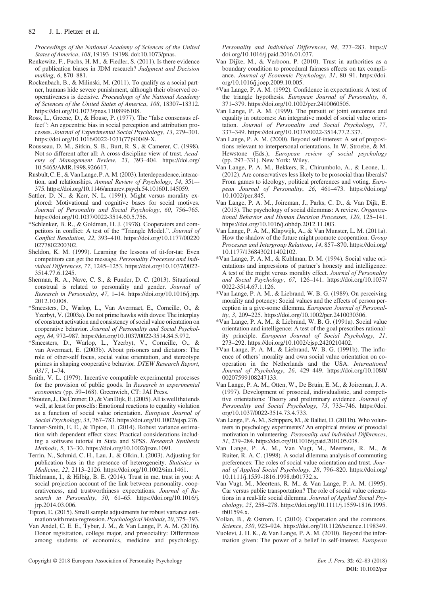Proceedings of the National Academy of Sciences of the United States of America, 108, 19193–19198. doi:10.1073/pnas.

- Renkewitz, F., Fuchs, H. M., & Fiedler, S. (2011). Is there evidence of publication biases in JDM research? Judgment and Decision making, 6, 870–881.
- Rockenbach, B., & Milinski, M. (2011). To qualify as a social partner, humans hide severe punishment, although their observed cooperativeness is decisive. Proceedings of the National Academy of Sciences of the United States of America, 108, 18307–18312. <https://doi.org/10.1073/pnas.1108996108>.
- Ross, L., Greene, D., & House, P. (1977). The "false consensus effect": An egocentric bias in social perception and attribution processes. Journal of Experimental Social Psychology, 13, 279–301. [https://doi.org/10.1016/0022-1031\(77\)90049-X](https://doi.org/10.1016/0022-1031(77)90049-X).
- Rousseau, D. M., Sitkin, S. B., Burt, R. S., & Camerer, C. (1998). Not so different after all: A cross-discipline view of trust. Academy of Management Review, 23, 393–404. [https://doi.org/](https://doi.org/10.5465/AMR.1998.926617) [10.5465/AMR.1998.926617.](https://doi.org/10.5465/AMR.1998.926617)
- Rusbult, C.E., & Van Lange, P.A.M. (2003). Interdependence, interaction, and relationships. Annual Review of Psychology, 54, 351–- 375.<https://doi.org/10.1146/annurev.psych.54.101601.145059>.
- Sattler, D. N., & Kerr, N. L. (1991). Might versus morality explored: Motivational and cognitive bases for social motives. Journal of Personality and Social Psychology, 60, 756–765. <https://doi.org/10.1037/0022-3514.60.5.756>.
- \*Schlenker, B. R., & Goldman, H. J. (1978). Cooperators and competitors in conflict: A test of the "Triangle Model.". Journal of Conflict Resolution, 22, 393–410. [https://doi.org/10.1177/00220](https://doi.org/10.1177/002200277802200302) [0277802200302.](https://doi.org/10.1177/002200277802200302)
- Sheldon, K. M. (1999). Learning the lessons of tit-for-tat: Even competitors can get the message. Personality Processes and Individual Differences, 77, 1245–1253. [https://doi.org/10.1037/0022-](https://doi.org/10.1037/0022-3514.77.6.1245) [3514.77.6.1245](https://doi.org/10.1037/0022-3514.77.6.1245).
- Sherman, R. A., Nave, C. S., & Funder, D. C. (2013). Situational construal is related to personality and gender. Journal of Research in Personality, 47, 1–14. [https://doi.org/10.1016/j.jrp.](https://doi.org/10.1016/j.jrp.2012.10.008) [2012.10.008](https://doi.org/10.1016/j.jrp.2012.10.008).
- \*Smeesters, D., Warlop, L., Van Avermaet, E., Corneille, O., & Yzerbyt, V. (2003a). Do not prime hawks with doves: The interplay of construct activation and consistency of social value orientation on cooperative behavior. Journal of Personality and Social Psychology, 84, 972–987. [https://doi.org/10.1037/0022-3514.84.5.972.](https://doi.org/10.1037/0022-3514.84.5.972)
- \*Smeesters, D., Warlop, L., Yzerbyt, V., Corneille, O., & van Avermaet, E. (2003b). About prisoners and dictators: The role of other-self focus, social value orientation, and stereotype primes in shaping cooperative behavior. DTEW Research Report, 0317, 1–74.
- Smith, V. L. (1979). Incentive compatible experimental processes for the provision of public goods. In Research in experimental economics (pp. 59–168). Greenwich, CT: JAI Press.
- \*Stouten, J.,DeCremer, D.,& VanDijk,E. (2005). Allis wellthat ends well, at least for proselfs: Emotional reactions to equality violation as a function of social value orientation. European Journal of Social Psychology, 35, 767–783. [https://doi.org/10.1002/ejsp.276.](https://doi.org/10.1002/ejsp.276)
- Tanner-Smith, E. E., & Tipton, E. (2014). Robust variance estimation with dependent effect sizes: Practical considerations including a software tutorial in Stata and SPSS. Research Synthesis Methods, 5, 13–30.<https://doi.org/10.1002/jrsm.1091>.
- Terrin, N., Schmid, C. H., Lau, J., & Olkin, I. (2003). Adjusting for publication bias in the presence of heterogeneity. Statistics in Medicine, 22, 2113–2126.<https://doi.org/10.1002/sim.1461>.
- Thielmann, I., & Hilbig, B. E. (2014). Trust in me, trust in you: A social projection account of the link between personality, cooperativeness, and trustworthiness expectations. Journal of Research in Personality, 50, 61–65. [https://doi.org/10.1016/j.](https://doi.org/10.1016/j.jrp.2014.03.006) [jrp.2014.03.006](https://doi.org/10.1016/j.jrp.2014.03.006).
- Tipton, E. (2015). Small sample adjustments for robust variance estimation with meta-regression.Psychological Methods, 20, 375–393.
- Van Andel, C. E. E., Tybur, J. M., & Van Lange, P. A. M. (2016). Donor registration, college major, and prosociality: Differences among students of economics, medicine and psychology.

Personality and Individual Differences, 94, 277–283. [https://](https://doi.org/10.1016/j.paid.2016.01.037) [doi.org/10.1016/j.paid.2016.01.037](https://doi.org/10.1016/j.paid.2016.01.037).

- Van Dijke, M., & Verboon, P. (2010). Trust in authorities as a boundary condition to procedural fairness effects on tax compliance. Journal of Economic Psychology, 31, 80–91. [https://doi.](https://doi.org/10.1016/j.joep.2009.10.005) [org/10.1016/j.joep.2009.10.005.](https://doi.org/10.1016/j.joep.2009.10.005)
- \*Van Lange, P. A. M. (1992). Confidence in expectations: A test of the triangle hypothesis. European Journal of Personality, 6, 371–379. [https://doi.org/10.1002/per.2410060505.](https://doi.org/10.1002/per.2410060505)
- Van Lange, P. A. M. (1999). The pursuit of joint outcomes and equality in outcomes: An integrative model of social value orientation. Journal of Personality and Social Psychology, 77, 337–349.<https://doi.org/10.1037//0022-3514.77.2.337>.
- Van Lange, P. A. M. (2000). Beyond self-interest: A set of propositions relevant to interpersonal orientations. In W. Stroebe, & M. Hewstone (Eds.), European review of social psychology (pp. 297–331). New York: Wiley.
- Van Lange, P. A. M., Bekkers, R., Chirumbolo, A., & Leone, L. (2012). Are conservatives less likely to be prosocial than liberals? From games to ideology, political preferences and voting. European Journal of Personality, 26, 461–473. [https://doi.org/](https://doi.org/10.1002/per.845) [10.1002/per.845](https://doi.org/10.1002/per.845).
- Van Lange, P. A. M., Joireman, J., Parks, C. D., & Van Dijk, E. (2013). The psychology of social dilemmas: A review. Organizational Behavior and Human Decision Processes, 120, 125–141. [https://doi.org/10.1016/j.obhdp.2012.11.003.](https://doi.org/10.1016/j.obhdp.2012.11.003)
- Van Lange, P. A. M., Klapwijk, A., & Van Munster, L. M. (2011a). How the shadow of the future might promote cooperation. Group Processes and Intergroup Relations, 14, 857–870. [https://doi.org/](https://doi.org/10.1177/1368430211402102) [10.1177/1368430211402102.](https://doi.org/10.1177/1368430211402102)
- \*Van Lange, P. A. M., & Kuhlman, D. M. (1994). Social value orientations and impressions of partner's honesty and intelligence: A test of the might versus morality effect. Journal of Personality and Social Psychology, 67, 126–141. [https://doi.org/10.1037/](https://doi.org/10.1037/0022-3514.67.1.126) [0022-3514.67.1.126.](https://doi.org/10.1037/0022-3514.67.1.126)
- \*Van Lange, P. A. M., & Liebrand, W. B. G. (1989). On perceiving morality and potency: Social values and the effects of person perception in a give-some dilemma. European Journal of Personality, 3, 209–225. [https://doi.org/10.1002/per.2410030306.](https://doi.org/10.1002/per.2410030306)
- \*Van Lange, P. A. M., & Liebrand, W. B. G. (1991a). Social value orientation and intelligence: A test of the goal prescribes rationality principle. European Journal of Social Psychology, 21, 273–292. [https://doi.org/10.1002/ejsp.2420210402.](https://doi.org/10.1002/ejsp.2420210402)
- \*Van Lange, P. A. M., & Liebrand, W. B. G. (1991b). The influence of others' morality and own social value orientation on cooperation in the Netherlands and the USA. International Journal of Psychology, 26, 429–449. [https://doi.org/10.1080/](https://doi.org/10.1080/00207599108247133) [00207599108247133.](https://doi.org/10.1080/00207599108247133)
- Van Lange, P. A. M., Otten, W., De Bruin, E. M., & Joireman, J. A. (1997). Development of prosocial, individualistic, and competitive orientations: Theory and preliminary evidence. Journal of Personality and Social Psychology, 73, 733–746. [https://doi.](https://doi.org/10.1037/0022-3514.73.4.733) [org/10.1037/0022-3514.73.4.733.](https://doi.org/10.1037/0022-3514.73.4.733)
- Van Lange, P. A. M., Schippers, M., & Balliet, D. (2011b). Who volunteers in psychology experiments? An empirical review of prosocial motivation in volunteering. Personality and Individual Differences, 51, 279–284. [https://doi.org/10.1016/j.paid.2010.05.038.](https://doi.org/10.1016/j.paid.2010.05.038)
- Van Lange, P. A. M., Van Vugt, M., Meertens, R. M., & Ruiter, R. A. C. (1998). A social dilemma analysis of commuting preferences: The roles of social value orientation and trust. Journal of Applied Social Psychology, 28, 796–820. [https://doi.org/](https://doi.org/10.1111/j.1559-1816.1998.tb01732.x) [10.1111/j.1559-1816.1998.tb01732.x](https://doi.org/10.1111/j.1559-1816.1998.tb01732.x).
- Van Vugt, M., Meertens, R. M., & Van Lange, P. A. M. (1995). Car versus public transportation? The role of social value orientations in a real-life social dilemma. Journal of Applied Social Psychology, 25, 258–278. [https://doi.org/10.1111/j.1559-1816.1995.](https://doi.org/10.1111/j.1559-1816.1995.tb01594.x) [tb01594.x](https://doi.org/10.1111/j.1559-1816.1995.tb01594.x).
- Vollan, B., & Ostrom, E. (2010). Cooperation and the commons. Science, 330, 923–924.<https://doi.org/10.1126/science.1198349>.
- Vuolevi, J. H. K., & Van Lange, P. A. M. (2010). Beyond the information given: The power of a belief in self-interest. European